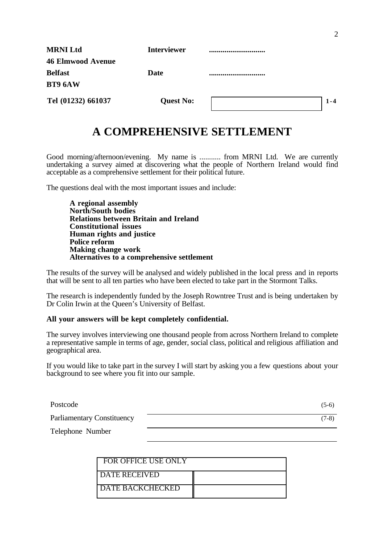| <b>MRNI Ltd</b>          | <b>Interviewer</b> |      |
|--------------------------|--------------------|------|
| <b>46 Elmwood Avenue</b> |                    |      |
| <b>Belfast</b>           | <b>Date</b>        |      |
| BT9 6AW                  |                    |      |
| Tel (01232) 661037       | <b>Quest No:</b>   | $-4$ |

# **A COMPREHENSIVE SETTLEMENT**

Good morning/afternoon/evening. My name is ........... from MRNI Ltd. We are currently undertaking a survey aimed at discovering what the people of Northern Ireland would find acceptable as a comprehensive settlement for their political future.

The questions deal with the most important issues and include:

**A regional assembly North/South bodies Relations between Britain and Ireland Constitutional issues Human rights and justice Police reform Making change work Alternatives to a comprehensive settlement**

The results of the survey will be analysed and widely published in the local press and in reports that will be sent to all ten parties who have been elected to take part in the Stormont Talks.

The research is independently funded by the Joseph Rowntree Trust and is being undertaken by Dr Colin Irwin at the Queen's University of Belfast.

#### **All your answers will be kept completely confidential.**

The survey involves interviewing one thousand people from across Northern Ireland to complete a representative sample in terms of age, gender, social class, political and religious affiliation and geographical area.

If you would like to take part in the survey I will start by asking you a few questions about your background to see where you fit into our sample.

| Postcode                          | $(5-6)$ |
|-----------------------------------|---------|
| <b>Parliamentary Constituency</b> | $(7-8)$ |
| Telephone Number                  |         |

| L FOR OFFICE USE ONLY     |  |
|---------------------------|--|
| <b>DATE RECEIVED</b>      |  |
| <b>I DATE BACKCHECKED</b> |  |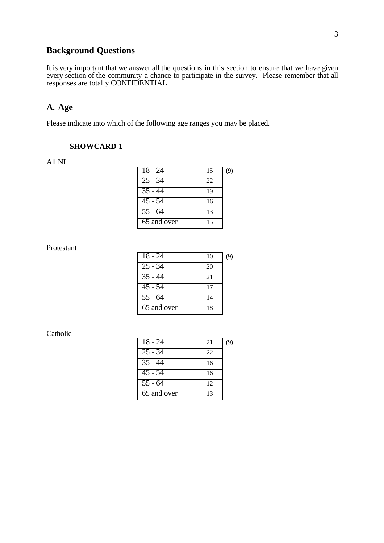# **Background Questions**

It is very important that we answer all the questions in this section to ensure that we have given every section of the community a chance to participate in the survey. Please remember that all responses are totally CONFIDENTIAL.

# **A. Age**

Please indicate into which of the following age ranges you may be placed.

### **SHOWCARD 1**

All NI

| $18 - 24$            | 15 | (9) |
|----------------------|----|-----|
| $25 - 34$            | 22 |     |
| $\overline{35} - 44$ | 19 |     |
| $\overline{45}$ - 54 | 16 |     |
| $\overline{55}$ - 64 | 13 |     |
| 65 and over          | 15 |     |

### Protestant

| 18 - 24              | 10 | (9) |
|----------------------|----|-----|
| $\overline{25} - 34$ | 20 |     |
| $\overline{35}$ - 44 | 21 |     |
| 45 - 54              | 17 |     |
| $\overline{55} - 64$ | 14 |     |
| 65 and over          | 18 |     |

#### Catholic

| $18 - 24$            | 21 | (9) |
|----------------------|----|-----|
| $\overline{25 - 34}$ | 22 |     |
| $\overline{3}5 - 44$ | 16 |     |
| $\overline{45}$ - 54 | 16 |     |
| $\overline{55}$ - 64 | 12 |     |
| 65 and over          | 13 |     |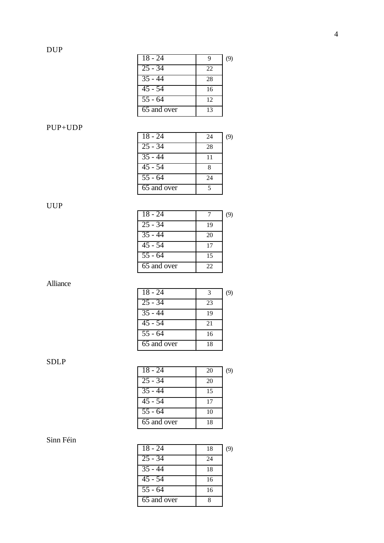| $18 - 24$            | q  | (9) |
|----------------------|----|-----|
| $25 - 34$            | 22 |     |
| $\overline{3}5 - 44$ | 28 |     |
| $\overline{45}$ - 54 | 16 |     |
| $55 - 64$            | 12 |     |
| 65 and over          | 13 |     |

### PUP+UDP

| $18 - 24$            | 24 | (9) |
|----------------------|----|-----|
| $\overline{25}$ - 34 | 28 |     |
| $\overline{35} - 44$ | 11 |     |
| $\overline{45}$ - 54 |    |     |
| $\overline{55}$ - 64 | 24 |     |
| 65 and over          |    |     |

# UUP

| $18 - 24$            |    | (9) |
|----------------------|----|-----|
| $25 - 34$            | 19 |     |
| $\overline{3}5 - 44$ | 20 |     |
| $45 - 54$            | 17 |     |
| $\overline{55}$ - 64 | 15 |     |
| 65 and over          | 22 |     |

# Alliance

| $18 - 24$                | 3  | (9) |
|--------------------------|----|-----|
| $\overline{25} - 34$     | 23 |     |
| $35 - 44$                | 19 |     |
| $\overline{45}$ - 54     | 21 |     |
| $\overline{55}$ - 64     | 16 |     |
| $\overline{65}$ and over | 18 |     |

# SDLP

| $18 - 24$            | 20 | (9) |
|----------------------|----|-----|
| $25 - 34$            | 20 |     |
| $\overline{35} - 44$ | 15 |     |
| $45 - 54$            | 17 |     |
| $\overline{55}$ - 64 | 10 |     |
| 65 and over          | 18 |     |
|                      |    |     |

# Sinn Féin

| $18 - 24$            | 18 | (9) |
|----------------------|----|-----|
| $25 - 34$            | 24 |     |
| $\overline{3}5 - 44$ | 18 |     |
| $\overline{45}$ - 54 | 16 |     |
| $\overline{55}$ - 64 | 16 |     |
| 65 and over          | Ջ  |     |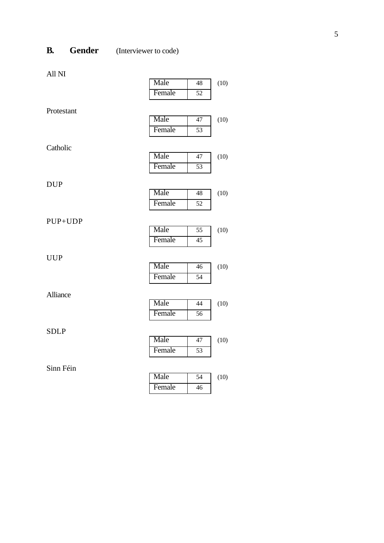# **B. Gender** (Interviewer to code)

All NI

|                 | Male   | 48              | (10) |
|-----------------|--------|-----------------|------|
|                 | Female | $\overline{52}$ |      |
| Protestant      |        |                 |      |
|                 | Male   | 47              | (10) |
|                 | Female | 53              |      |
| Catholic        |        |                 |      |
|                 | Male   | 47              | (10) |
|                 | Female | 53              |      |
|                 |        |                 |      |
| <b>DUP</b>      | Male   | 48              | (10) |
|                 |        |                 |      |
|                 | Female | 52              |      |
| PUP+UDP         |        |                 |      |
|                 | Male   | 55              | (10) |
|                 | Female | 45              |      |
| <b>UUP</b>      |        |                 |      |
|                 | Male   | 46              | (10) |
|                 | Female | 54              |      |
| <b>Alliance</b> |        |                 |      |
|                 | Male   | $\overline{44}$ | (10) |
|                 | Female | 56              |      |
| <b>SDLP</b>     |        |                 |      |
|                 | Male   | 47              | (10) |
|                 | Female | 53              |      |
| Sinn Féin       |        |                 |      |
|                 | Male   | $\overline{54}$ | (10) |
|                 | Female | 46              |      |
|                 |        |                 |      |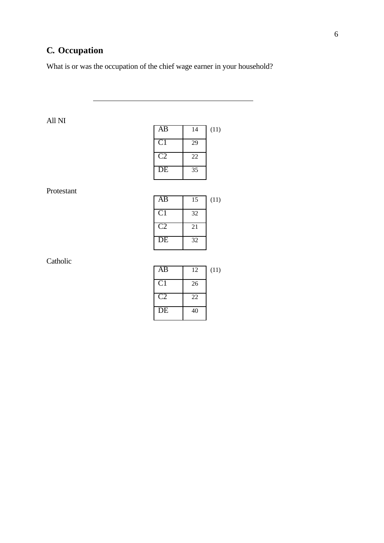# **C. Occupation**

 $\overline{a}$ 

What is or was the occupation of the chief wage earner in your household?

# All NI

| AВ             | 14 | (11) |
|----------------|----|------|
| C <sub>1</sub> | 29 |      |
| C2             | 22 |      |
| DE             | 35 |      |

### Protestant

| AB             | 15 | (11) |
|----------------|----|------|
| C <sub>1</sub> | 32 |      |
| C2             | 21 |      |
| DE             | 32 |      |

Catholic

| AB              | 12 | (11) |
|-----------------|----|------|
| C <sub>1</sub>  | 26 |      |
| $\mathcal{C}$   | 22 |      |
| $\overline{DE}$ | 40 |      |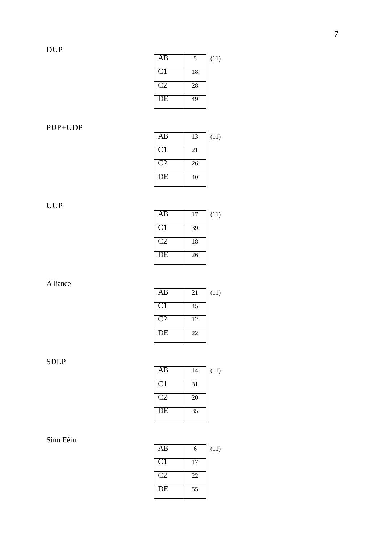| AB             | 5  | (11) |
|----------------|----|------|
| C <sub>1</sub> | 18 |      |
| C2             | 28 |      |
| DE             | 49 |      |

# PUP+UDP

| AB             | 13 | (11) |
|----------------|----|------|
| C <sub>1</sub> | 21 |      |
| C2             | 26 |      |
| DE             | 40 |      |

UUP

| AB             | 17 | (11) |
|----------------|----|------|
| C <sub>1</sub> | 39 |      |
| C2             | 18 |      |
| DE             | 26 |      |

Alliance

| AB                     | 21 | (11) |
|------------------------|----|------|
| C <sub>1</sub>         | 45 |      |
| $\mathcal{C}^{\prime}$ | 12 |      |
| DE                     | 22 |      |

SDLP

| AB | 14 | (11) |
|----|----|------|
| C1 | 31 |      |
| C2 | 20 |      |
| DE | 35 |      |

# Sinn Féin

| AB              | 6  | (11) |
|-----------------|----|------|
| $\overline{C}1$ | 17 |      |
| C <sub>2</sub>  | 22 |      |
| $\overline{DE}$ | 55 |      |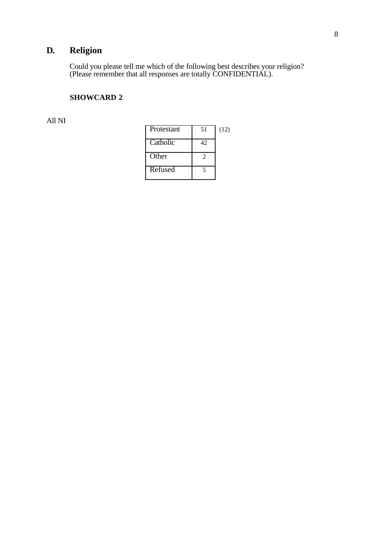# **D. Religion**

Could you please tell me which of the following best describes your religion? (Please remember that all responses are totally CONFIDENTIAL).

# **SHOWCARD 2**

All NI

| Protestant | 51 | (12) |
|------------|----|------|
| Catholic   | 42 |      |
| Other      | 2  |      |
| Refused    |    |      |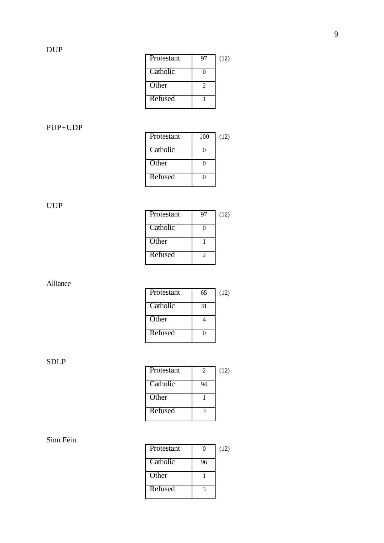| Protestant | 97 | (12) |
|------------|----|------|
| Catholic   |    |      |
| Other      | 2  |      |
| Refused    |    |      |

# PUP+UDP

| Protestant | 100 | (12) |
|------------|-----|------|
| Catholic   | 0   |      |
| Other      |     |      |
| Refused    |     |      |

# UUP

| Protestant | 97 | (12) |
|------------|----|------|
| Catholic   |    |      |
| Other      |    |      |
| Refused    | າ  |      |

# Alliance

| Protestant | 65 | (12) |
|------------|----|------|
| Catholic   | 31 |      |
| Other      |    |      |
| Refused    |    |      |

SDLP

| Protestant | $\mathcal{D}_{\cdot}$ | (12) |
|------------|-----------------------|------|
| Catholic   | 94                    |      |
| Other      |                       |      |
| Refused    |                       |      |

# Sinn Féin

| Protestant |    | (12) |
|------------|----|------|
| Catholic   | 96 |      |
| Other      |    |      |
| Refused    |    |      |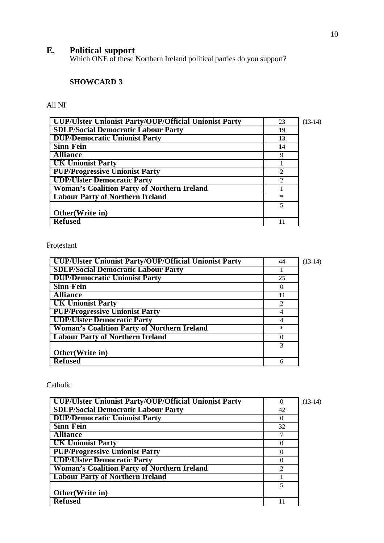### **E. Political support**

Which ONE of these Northern Ireland political parties do you support?

### **SHOWCARD 3**

All NI

| <b>UUP/Ulster Unionist Party/OUP/Official Unionist Party</b> | 23                          | $(13-14)$ |
|--------------------------------------------------------------|-----------------------------|-----------|
| <b>SDLP/Social Democratic Labour Party</b>                   | 19                          |           |
| <b>DUP/Democratic Unionist Party</b>                         | 13                          |           |
| <b>Sinn Fein</b>                                             | 14                          |           |
| <b>Alliance</b>                                              | 9                           |           |
| <b>UK Unionist Party</b>                                     |                             |           |
| <b>PUP/Progressive Unionist Party</b>                        | $\mathfrak{D}$              |           |
| <b>UDP/Ulster Democratic Party</b>                           | $\mathcal{D}_{\mathcal{A}}$ |           |
| <b>Woman's Coalition Party of Northern Ireland</b>           |                             |           |
| <b>Labour Party of Northern Ireland</b>                      | $\ast$                      |           |
|                                                              | 5                           |           |
| Other (Write in)                                             |                             |           |
| <b>Refused</b>                                               |                             |           |

Protestant

| UUP/Ulster Unionist Party/OUP/Official Unionist Party | 44       | $(13-14)$ |
|-------------------------------------------------------|----------|-----------|
| <b>SDLP/Social Democratic Labour Party</b>            |          |           |
| <b>DUP/Democratic Unionist Party</b>                  | 25       |           |
| <b>Sinn Fein</b>                                      | $\theta$ |           |
| <b>Alliance</b>                                       | 11       |           |
| <b>UK Unionist Party</b>                              |          |           |
| <b>PUP/Progressive Unionist Party</b>                 | 4        |           |
| <b>UDP/Ulster Democratic Party</b>                    | 4        |           |
| <b>Woman's Coalition Party of Northern Ireland</b>    | $\ast$   |           |
| <b>Labour Party of Northern Ireland</b>               | $\Omega$ |           |
|                                                       | 3        |           |
| Other(Write in)                                       |          |           |
| <b>Refused</b>                                        | 6        |           |

Catholic

| UUP/Ulster Unionist Party/OUP/Official Unionist Party | 0        | $(13-14)$ |
|-------------------------------------------------------|----------|-----------|
| <b>SDLP/Social Democratic Labour Party</b>            | 42       |           |
| <b>DUP/Democratic Unionist Party</b>                  | $\theta$ |           |
| <b>Sinn Fein</b>                                      | 32       |           |
| <b>Alliance</b>                                       |          |           |
| <b>UK Unionist Party</b>                              | $\Omega$ |           |
| <b>PUP/Progressive Unionist Party</b>                 |          |           |
| <b>UDP/Ulster Democratic Party</b>                    |          |           |
| <b>Woman's Coalition Party of Northern Ireland</b>    |          |           |
| <b>Labour Party of Northern Ireland</b>               |          |           |
|                                                       | 5        |           |
| Other(Write in)                                       |          |           |
| <b>Refused</b>                                        |          |           |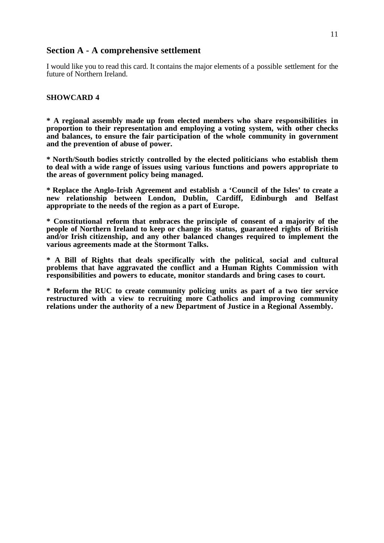### **Section A - A comprehensive settlement**

I would like you to read this card. It contains the major elements of a possible settlement for the future of Northern Ireland.

#### **SHOWCARD 4**

**\* A regional assembly made up from elected members who share responsibilities in proportion to their representation and employing a voting system, with other checks and balances, to ensure the fair participation of the whole community in government and the prevention of abuse of power.**

**\* North/South bodies strictly controlled by the elected politicians who establish them to deal with a wide range of issues using various functions and powers appropriate to the areas of government policy being managed.**

**\* Replace the Anglo-Irish Agreement and establish a 'Council of the Isles' to create a new relationship between London, Dublin, Cardiff, Edinburgh and Belfast appropriate to the needs of the region as a part of Europe.**

**\* Constitutional reform that embraces the principle of consent of a majority of the people of Northern Ireland to keep or change its status, guaranteed rights of British and/or Irish citizenship, and any other balanced changes required to implement the various agreements made at the Stormont Talks.**

**\* A Bill of Rights that deals specifically with the political, social and cultural problems that have aggravated the conflict and a Human Rights Commission with responsibilities and powers to educate, monitor standards and bring cases to court.**

**\* Reform the RUC to create community policing units as part of a two tier service restructured with a view to recruiting more Catholics and improving community relations under the authority of a new Department of Justice in a Regional Assembly.**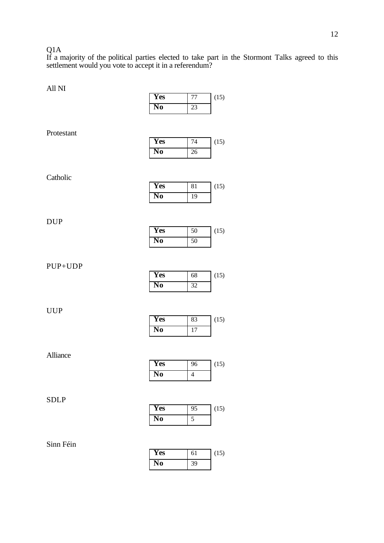#### Q1A

If a majority of the political parties elected to take part in the Stormont Talks agreed to this settlement would you vote to accept it in a referendum?

| All NI      |                |                         |      |
|-------------|----------------|-------------------------|------|
|             | Yes            | $77\,$                  | (15) |
|             | N <sub>0</sub> | 23                      |      |
|             |                |                         |      |
| Protestant  |                |                         |      |
|             | Yes            | 74                      | (15) |
|             | N <sub>0</sub> | 26                      |      |
|             |                |                         |      |
|             |                |                         |      |
| Catholic    | <b>Yes</b>     |                         |      |
|             | N <sub>0</sub> | 81                      | (15) |
|             |                | 19                      |      |
|             |                |                         |      |
| <b>DUP</b>  |                |                         |      |
|             | <b>Yes</b>     | 50                      | (15) |
|             | N <sub>0</sub> | 50                      |      |
|             |                |                         |      |
| PUP+UDP     |                |                         |      |
|             | Yes            | 68                      | (15) |
|             | N <sub>0</sub> | 32                      |      |
|             |                |                         |      |
| <b>UUP</b>  |                |                         |      |
|             | Yes            | 83                      | (15) |
|             | N <sub>0</sub> | 17                      |      |
|             |                |                         |      |
|             |                |                         |      |
| Alliance    | Yes            | 96                      | (15) |
|             | N <sub>0</sub> | $\overline{\mathbf{4}}$ |      |
|             |                |                         |      |
|             |                |                         |      |
| <b>SDLP</b> |                |                         |      |
|             | Yes            | 95                      | (15) |
|             | N <sub>0</sub> | $\overline{5}$          |      |
|             |                |                         |      |
| Sinn Féin   |                |                         |      |
|             |                |                         |      |

| <b>Yes</b> | 61 | (15) |
|------------|----|------|
| No.        | 39 |      |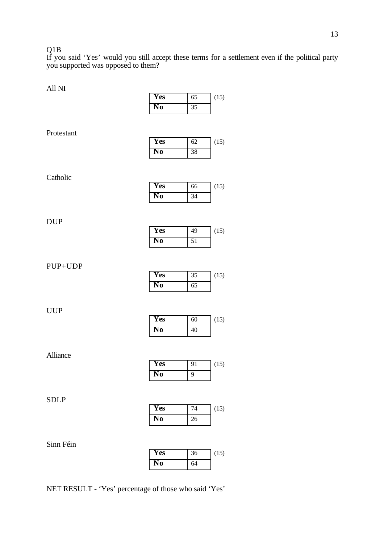### Q1B

If you said 'Yes' would you still accept these terms for a settlement even if the political party you supported was opposed to them?

 $(15)$ 

 $(15)$ 

 $(15)$ 

 $(15)$ 

 $(15)$ 

 $(15)$ 

 $(15)$ 

 $(15)$ 

**Yes** 36 (15)

**No** 64

| All NI      |                        |                 |
|-------------|------------------------|-----------------|
|             | Yes                    | $\overline{65}$ |
|             | N <sub>0</sub>         | 35              |
|             |                        |                 |
| Protestant  | Yes                    | 62              |
|             | N <sub>0</sub>         | 38              |
| Catholic    |                        |                 |
|             | <b>Yes</b>             | 66              |
|             | $\overline{\text{No}}$ | 34              |
| <b>DUP</b>  |                        |                 |
|             | Yes                    | 49              |
|             | $\overline{\text{No}}$ | $\overline{51}$ |
| PUP+UDP     | Yes                    | 35              |
|             | $\overline{\text{No}}$ | 65              |
| <b>UUP</b>  | Yes                    | 60              |
|             | $\overline{\text{No}}$ | 40              |
| Alliance    |                        |                 |
|             | Yes                    | 91              |
|             | N <sub>0</sub>         | 9               |
| <b>SDLP</b> |                        |                 |
|             | Yes                    | 74              |
|             | $\overline{\text{No}}$ | 26              |
| Sinn Féin   |                        |                 |

NET RESULT - 'Yes' percentage of those who said 'Yes'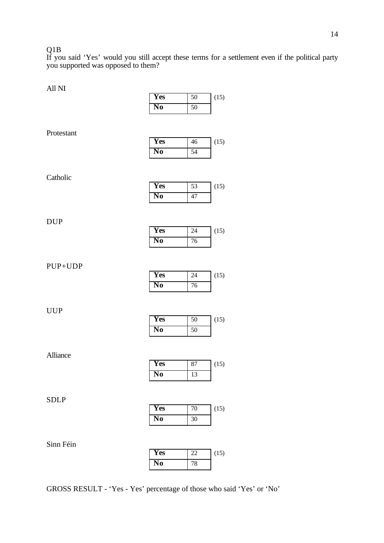#### Q1B

If you said 'Yes' would you still accept these terms for a settlement even if the political party you supported was opposed to them?

| All NI      |                        |              |      |
|-------------|------------------------|--------------|------|
|             | Yes                    | 50           | (15) |
|             | N <sub>0</sub>         | 50           |      |
| Protestant  |                        |              |      |
|             | <b>Yes</b>             | 46           | (15) |
|             | $\overline{\text{No}}$ | 54           |      |
| Catholic    | Yes                    | 53           | (15) |
|             | $\overline{\text{No}}$ | 47           |      |
| <b>DUP</b>  |                        |              |      |
|             | <b>Yes</b>             | 24           | (15) |
|             | N <sub>0</sub>         | 76           |      |
| PUP+UDP     | Yes<br>N <sub>0</sub>  | 24<br>76     | (15) |
| <b>UUP</b>  | <b>Yes</b>             | 50           | (15) |
|             | N <sub>0</sub>         | 50           |      |
| Alliance    | Yes                    | 87           | (15) |
|             | No                     | 13           |      |
| <b>SDLP</b> | Yes<br>N <sub>0</sub>  | $70\,$<br>30 | (15) |
| Sinn Féin   | Yes                    | 22           | (15) |
|             | N <sub>0</sub>         | 78           |      |
|             |                        |              |      |

GROSS RESULT - 'Yes - Yes' percentage of those who said 'Yes' or 'No'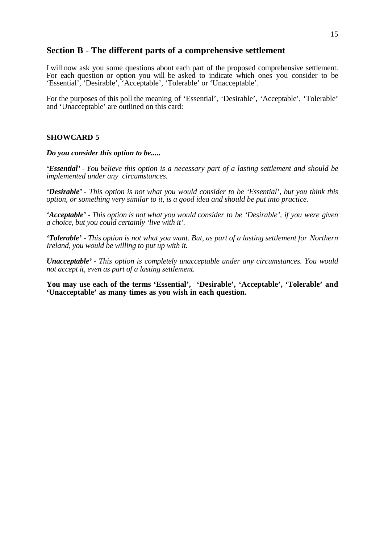### **Section B - The different parts of a comprehensive settlement**

I will now ask you some questions about each part of the proposed comprehensive settlement. For each question or option you will be asked to indicate which ones you consider to be 'Essential', 'Desirable', 'Acceptable', 'Tolerable' or 'Unacceptable'.

For the purposes of this poll the meaning of 'Essential', 'Desirable', 'Acceptable', 'Tolerable' and 'Unacceptable' are outlined on this card:

#### **SHOWCARD 5**

*Do you consider this option to be.....*

*'Essential' - You believe this option is a necessary part of a lasting settlement and should be implemented under any circumstances.*

*'Desirable' - This option is not what you would consider to be 'Essential', but you think this option, or something very similar to it, is a good idea and should be put into practice.*

*'Acceptable' - This option is not what you would consider to be 'Desirable', if you were given a choice, but you could certainly 'live with it'.*

*'Tolerable' - This option is not what you want. But, as part of a lasting settlement for Northern Ireland, you would be willing to put up with it.*

*Unacceptable' - This option is completely unacceptable under any circumstances. You would not accept it, even as part of a lasting settlement.*

**You may use each of the terms 'Essential', 'Desirable', 'Acceptable', 'Tolerable' and 'Unacceptable' as many times as you wish in each question.**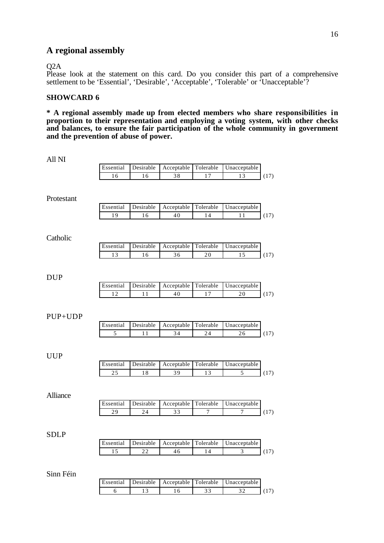### **A regional assembly**

#### Q2A

Please look at the statement on this card. Do you consider this part of a comprehensive settlement to be 'Essential', 'Desirable', 'Acceptable', 'Tolerable' or 'Unacceptable'?

### **SHOWCARD 6**

**\* A regional assembly made up from elected members who share responsibilities in proportion to their representation and employing a voting system, with other checks and balances, to ensure the fair participation of the whole community in government and the prevention of abuse of power.**

| All NI      |                 |                 |                      |                 |                                 |      |
|-------------|-----------------|-----------------|----------------------|-----------------|---------------------------------|------|
|             | Essential       | Desirable       | Acceptable           | Tolerable       | Unacceptable                    |      |
|             | 16              | 16              | $\overline{38}$      | $\overline{17}$ | 13                              | (17) |
| Protestant  |                 |                 |                      |                 |                                 |      |
|             | Essential       | Desirable       | Acceptable           | Tolerable       | Unacceptable                    |      |
|             | 19              | $\overline{16}$ | 40                   | 14              | 11                              | (17) |
| Catholic    |                 |                 |                      |                 |                                 |      |
|             | Essential       | Desirable       | Acceptable           | Tolerable       | Unacceptable                    |      |
|             | 13              | 16              | 36                   | 20              | $\overline{15}$                 | (17) |
| <b>DUP</b>  |                 |                 |                      |                 |                                 |      |
|             | Essential       | Desirable       | Acceptable           | Tolerable       | Unacceptable                    |      |
|             | 12              | 11              | 40                   | $\overline{17}$ | 20                              | (17) |
| PUP+UDP     | Essential<br>5  | Desirable<br>11 | Acceptable<br>34     | Tolerable<br>24 | Unacceptable<br>$\overline{26}$ | (17) |
| <b>UUP</b>  |                 |                 |                      |                 |                                 |      |
|             | Essential       | Desirable       | Acceptable           | Tolerable       | Unacceptable                    |      |
|             | $\overline{25}$ | 18              | 39                   | 13              | 5                               | (17) |
| Alliance    |                 |                 |                      |                 |                                 |      |
|             | Essential       | Desirable       | Acceptable           | Tolerable       | Unacceptable                    |      |
|             | 29              | 24              | 33                   | 7               | $\overline{7}$                  | (17) |
| <b>SDLP</b> |                 |                 |                      |                 |                                 |      |
|             | Essential       | Desirable       | Acceptable           | Tolerable       | Unacceptable                    |      |
|             | $\overline{15}$ | 22              | 46                   | 14              | $\overline{3}$                  | (17) |
| Sinn Féin   | Essential       | Desirable       | Acceptable Tolerable |                 | Unacceptable                    |      |
|             |                 |                 |                      |                 |                                 |      |

6 13 16 33 32 (17)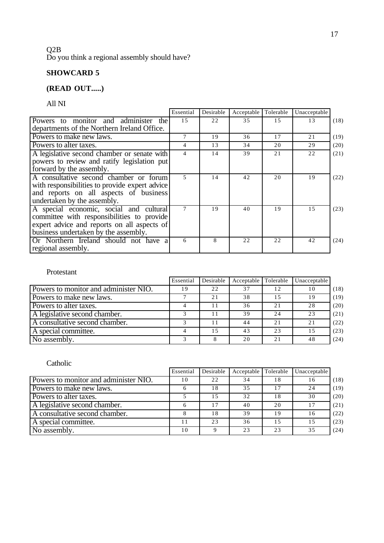### Q2B Do you think a regional assembly should have?

# **SHOWCARD 5**

# **(READ OUT.....)**

All NI

|                                                | Essential      | Desirable | Acceptable Tolerable |    | Unacceptable |      |
|------------------------------------------------|----------------|-----------|----------------------|----|--------------|------|
| Powers to monitor and administer<br>the        | 1.5            | 22        | 35                   | 15 | 13           | (18) |
| departments of the Northern Ireland Office.    |                |           |                      |    |              |      |
| Powers to make new laws.                       |                | 19        | 36                   | 17 | 21           | (19) |
| Powers to alter taxes.                         | 4              | 13        | 34                   | 20 | 29           | (20) |
| A legislative second chamber or senate with    | 4              | 14        | 39                   | 21 | 22           | (21) |
| powers to review and ratify legislation put    |                |           |                      |    |              |      |
| forward by the assembly.                       |                |           |                      |    |              |      |
| A consultative second chamber or forum         | $\overline{5}$ | 14        | 42                   | 20 | 19           | (22) |
| with responsibilities to provide expert advice |                |           |                      |    |              |      |
| and reports on all aspects of business         |                |           |                      |    |              |      |
| undertaken by the assembly.                    |                |           |                      |    |              |      |
| A special economic, social and cultural        | 7              | 19        | 40                   | 19 | 1.5          | (23) |
| committee with responsibilities to provide     |                |           |                      |    |              |      |
| expert advice and reports on all aspects of    |                |           |                      |    |              |      |
| business undertaken by the assembly.           |                |           |                      |    |              |      |
| Or Northern Ireland should not have a          | 6              | 8         | 22                   | 22 | 42           | (24) |
| regional assembly.                             |                |           |                      |    |              |      |

### Protestant

|                                       | Essential | Desirable | Acceptable | Tolerable | Unacceptable |      |
|---------------------------------------|-----------|-----------|------------|-----------|--------------|------|
| Powers to monitor and administer NIO. | 19        | 22        | 37         | 12        | 10           | (18) |
| Powers to make new laws.              |           | 2.1       | 38         |           | 19           | (19) |
| Powers to alter taxes.                |           |           | 36         | 2.1       | 28           | (20) |
| A legislative second chamber.         |           |           | 39         | 24        | 23           | (21) |
| A consultative second chamber.        |           | 11        | 44         | 2.1       | 21           | (22) |
| A special committee.                  |           | 1.5       | 43         | 23        |              | (23) |
| No assembly.                          |           |           | 20         | 2.1       | 48           | (24) |

### Catholic

|                                       | Essential | Desirable | Acceptable | Tolerable | Unacceptable |      |
|---------------------------------------|-----------|-----------|------------|-----------|--------------|------|
| Powers to monitor and administer NIO. | 10        | 22        | 34         | 18        | 16           | (18) |
| Powers to make new laws.              |           | 18        | 35         |           | 24           | (19) |
| Powers to alter taxes.                |           | 15        | 32         | 18        | 30           | (20) |
| A legislative second chamber.         |           | 17        | 40         | 20        |              | (21) |
| A consultative second chamber.        |           | 18        | 39         | 19        | 16           | (22) |
| A special committee.                  |           | 23        | 36         | 15        | 15           | (23) |
| No assembly.                          | 10        |           | 23         | 23        | 35           | (24) |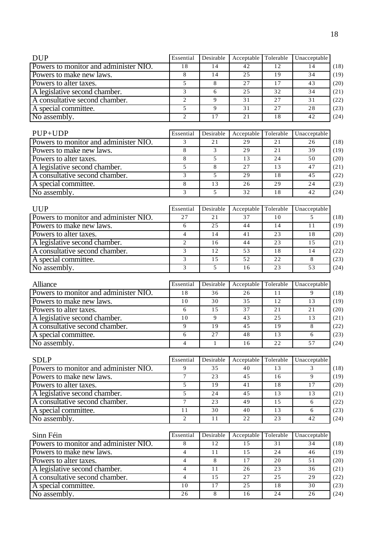| <b>DUP</b>                                                             | Essential      | Desirable    | Acceptable | Tolerable | Unacceptable   |
|------------------------------------------------------------------------|----------------|--------------|------------|-----------|----------------|
| Powers to monitor and administer NIO.                                  | 18             | 14           | 42         | 12        | 14             |
| Powers to make new laws.                                               | 8              | 14           | 25         | 19        | 34             |
| Powers to alter taxes.                                                 | 5              | 8            | 27         | 17        | 43             |
| A legislative second chamber.                                          | 3              | 6            | 25         | 32        | 34             |
| A consultative second chamber.                                         | $\overline{2}$ | 9            | 31         | 27        | 31             |
| A special committee.                                                   | 5              | 9            | 31         | 27        | 28             |
| No assembly.                                                           | 2              | 17           | 21         | 18        | 42             |
|                                                                        |                |              |            |           |                |
| PUP+UDP                                                                | Essential      | Desirable    | Acceptable | Tolerable | Unacceptable   |
| Powers to monitor and administer NIO.                                  | 3              | 21           | 29         | 21        | 26             |
| Powers to make new laws.                                               | 8              | 3            | 29         | 21        | 39             |
| Powers to alter taxes.                                                 | 8              | 5            | 13         | 24        | 50             |
| A legislative second chamber.                                          | 5              | 8            | 27         | 13        | 47             |
| A consultative second chamber.                                         | 3              | 5            | 29         | 18        | 45             |
| A special committee.                                                   | 8              | 13           | 26         | 29        | 24             |
| No assembly.                                                           | 3              | 5            | 32         | 18        | 42             |
|                                                                        |                |              |            |           |                |
| <b>UUP</b>                                                             | Essential      | Desirable    | Acceptable | Tolerable | Unacceptable   |
| Powers to monitor and administer NIO.                                  | 27             | 21           | 37         | 10        | 5              |
| Powers to make new laws.                                               | 6              | 25           | 44         | 14        | 11             |
| Powers to alter taxes.                                                 | $\overline{4}$ | 14           | 41         | 23        | 18             |
| A legislative second chamber.                                          | $\overline{2}$ | 16           | 44         | 23        | 15             |
| A consultative second chamber.                                         | 3              | 12           | 53         | 18        | 14             |
| A special committee.                                                   | 3              | 15           | 52         | 22        | 8              |
|                                                                        | 3              | 5            | 16         | 23        | 53             |
| No assembly.                                                           |                |              |            |           |                |
| Alliance                                                               | Essential      | Desirable    | Acceptable | Tolerable | Unacceptable   |
| Powers to monitor and administer NIO.                                  | 18             | 36           | 26         | 11        | 9              |
| Powers to make new laws.                                               | 10             | 30           | 35         | 12        | 13             |
| Powers to alter taxes.                                                 | 6              | 15           | 37         | 21        | 21             |
| A legislative second chamber.                                          | 10             | 9            | 43         | 25        | 13             |
| A consultative second chamber.                                         | 9              | 19           | 45         | 19        | 8              |
| A special committee.                                                   | 6              | 27           | 48         | 13        | 6              |
| No assembly.                                                           | 4              | $\mathbf{1}$ | 16         | 22        | 57             |
|                                                                        |                |              |            |           |                |
| <b>SDLP</b>                                                            | Essential      | Desirable    | Acceptable | Tolerable | Unacceptable   |
| Powers to monitor and administer NIO.                                  | 9              | 35           | 40         | 13        | 3              |
| Powers to make new laws.                                               | $\tau$         | 23           | 45         | 16        | $\overline{9}$ |
| Powers to alter taxes.                                                 | 5              | 19           | 41         | 18        | 17             |
| A legislative second chamber.                                          | 5              | 24           | 45         | 13        | 13             |
| A consultative second chamber.                                         | $\overline{7}$ | 23           | 49         | 15        | 6              |
| A special committee.                                                   | $1\,1$         | 30           | 40         | 13        | 6              |
|                                                                        | $\overline{2}$ | 11           | 22         | 23        | 42             |
| No assembly.                                                           |                |              |            |           |                |
| Sinn Féin                                                              | Essential      | Desirable    | Acceptable | Tolerable | Unacceptable   |
| Powers to monitor and administer NIO.                                  | 8              | 12           | 15         | 31        | 34             |
|                                                                        |                |              |            |           |                |
| Powers to make new laws.                                               | $\overline{4}$ | 11           | 15         | 24        | 46             |
| Powers to alter taxes.                                                 | $\overline{4}$ | $8\,$        | 17         | 20        | 51             |
| A legislative second chamber.                                          | $\overline{4}$ | 11           | 26         | 23        | 36             |
|                                                                        | $\overline{4}$ | 15           | 27         | 25        | 29             |
|                                                                        |                |              |            |           |                |
| A consultative second chamber.<br>A special committee.<br>No assembly. | 10<br>26       | 17<br>8      | 25<br>16   | 18<br>24  | 30<br>26       |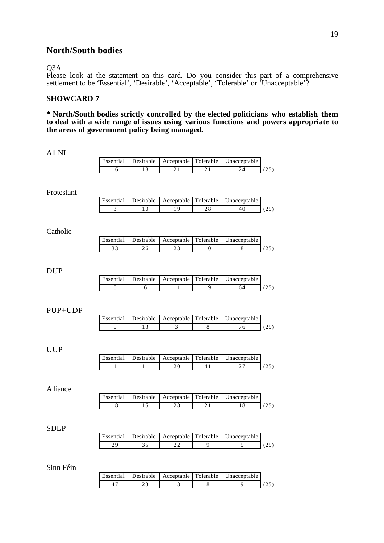### **North/South bodies**

#### Q3A

Please look at the statement on this card. Do you consider this part of a comprehensive settlement to be 'Essential', 'Desirable', 'Acceptable', 'Tolerable' or 'Unacceptable'?

### **SHOWCARD 7**

**\* North/South bodies strictly controlled by the elected politicians who establish them to deal with a wide range of issues using various functions and powers appropriate to the areas of government policy being managed.**

| All NI      |                           |                 |                                |                 |                    |      |
|-------------|---------------------------|-----------------|--------------------------------|-----------------|--------------------|------|
|             | Essential                 | Desirable       | Acceptable                     | Tolerable       | Unacceptable       |      |
|             | 16                        | 18              | 21                             | 21              | 24                 | (25) |
| Protestant  |                           |                 |                                |                 |                    |      |
|             | Essential                 | Desirable       | Acceptable                     | Tolerable       | Unacceptable       |      |
|             | $\overline{3}$            | 10              | 19                             | $2\,8$          | 40                 | (25) |
| Catholic    |                           |                 |                                |                 |                    |      |
|             | Essential                 | Desirable       | Acceptable                     | Tolerable       | Unacceptable       |      |
|             | 33                        | 26              | $\overline{23}$                | 10              | $\,8\,$            | (25) |
| <b>DUP</b>  |                           |                 |                                |                 |                    |      |
|             | Essential                 | Desirable       | Acceptable                     | Tolerable       | Unacceptable       |      |
|             | $\boldsymbol{0}$          | 6               | 11                             | 19              | 64                 | (25) |
| PUP+UDP     | Essential<br>$\mathbf{0}$ | Desirable<br>13 | Acceptable<br>3                | Tolerable<br>8  | Unacceptable<br>76 | (25) |
| <b>UUP</b>  | Essential<br>1            | Desirable<br>11 | Acceptable<br>20               | Tolerable<br>41 | Unacceptable<br>27 | (25) |
| Alliance    | Essential                 | Desirable       | Acceptable                     | Tolerable       | Unacceptable       |      |
|             | 18                        | 15              | 28                             | 21              | 18                 | (25) |
| <b>SDLP</b> | Essential                 |                 | Desirable Acceptable Tolerable |                 | Unacceptable       |      |
|             |                           | 35              |                                | 9               | 5                  |      |
|             | 29                        |                 | 22                             |                 |                    | (25) |
| Sinn Féin   |                           |                 |                                |                 |                    |      |
|             | Essential                 | Desirable       | Acceptable                     | Tolerable       | Unacceptable       |      |
|             | 47                        | $\overline{23}$ | $\overline{13}$                | $\overline{8}$  | $\overline{9}$     | (25) |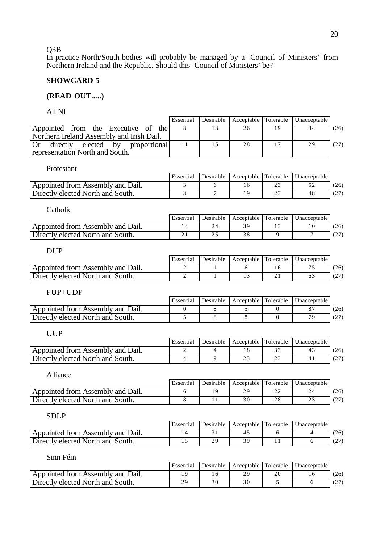Q3B

In practice North/South bodies will probably be managed by a 'Council of Ministers' from Northern Ireland and the Republic. Should this 'Council of Ministers' be?

#### **SHOWCARD 5**

#### **(READ OUT.....)**

All NI

|                                              | Essential | Desirable |    | Acceptable Tolerable Unacceptable |      |
|----------------------------------------------|-----------|-----------|----|-----------------------------------|------|
| the I<br>Appointed from the Executive of     |           |           | 26 |                                   | (26) |
| Northern Ireland Assembly and Irish Dail.    |           |           |    |                                   |      |
| Or<br>directly<br>proportional<br>elected by |           | 1.5       | 28 | 29                                | (27) |
| representation North and South.              |           |           |    |                                   |      |

Protestant

|                                   | Essential | Desirable | Acceptable Tolerable |                    | Unacceptable |               |
|-----------------------------------|-----------|-----------|----------------------|--------------------|--------------|---------------|
| Appointed from Assembly and Dail. |           |           |                      | <u>_</u>           |              | (26)          |
| Directly elected North and South. |           |           |                      | $\sim$<br><u>_</u> | .4 പ         | (27)<br>، ∠ ۱ |

| Catholic                          |           |    |                                                   |      |
|-----------------------------------|-----------|----|---------------------------------------------------|------|
|                                   | Essential |    | Desirable   Acceptable   Tolerable   Unacceptable |      |
| Appointed from Assembly and Dail. |           | 39 |                                                   | (26) |
| Directly elected North and South. |           | 38 |                                                   |      |

DUP

|                                   | Essential | Desirable | Acceptable Tolerable |     | Unacceptable |              |
|-----------------------------------|-----------|-----------|----------------------|-----|--------------|--------------|
| Appointed from Assembly and Dail. |           |           |                      |     |              | 26)          |
| Directly elected North and South. |           |           |                      | - - |              | . <u>. .</u> |

PUP+UDP

|                                   | Essential | Desirable | Acceptable Tolerable | Unacceptable |                 |
|-----------------------------------|-----------|-----------|----------------------|--------------|-----------------|
| Appointed from Assembly and Dail. |           |           |                      |              | (26)            |
| Directly elected North and South. |           |           |                      |              | $\sim$<br>1 Z L |

UUP

|                                   | Essential | Desirable | Acceptable Tolerable |                           | Unacceptable |              |
|-----------------------------------|-----------|-----------|----------------------|---------------------------|--------------|--------------|
| Appointed from Assembly and Dail. |           |           |                      | $\sim$                    | 4.           | (26)         |
| Directly elected North and South. |           |           | ∸ ~                  | $\sim$ $\sim$<br><u>_</u> |              | (0,1)<br>\ ∠ |

Alliance

|                                   | Essential | Desirable | Acceptable Tolerable | Unacceptable |                    |
|-----------------------------------|-----------|-----------|----------------------|--------------|--------------------|
| Appointed from Assembly and Dail. |           |           | 29                   |              | (26)               |
| Directly elected North and South. |           |           |                      |              | (27)<br>$\angle$ / |

SDLP

|                                   | Essential | Desirable | Acceptable Tolerable | Unacceptable |            |
|-----------------------------------|-----------|-----------|----------------------|--------------|------------|
| Appointed from Assembly and Dail. |           |           |                      |              | (26)       |
| Directly elected North and South. |           | ን ዐ       |                      |              | $\sqrt{2}$ |

Sinn Féin

|                                   | Essential | Desirable | Acceptable Tolerable | Unacceptable |       |
|-----------------------------------|-----------|-----------|----------------------|--------------|-------|
| Appointed from Assembly and Dail. |           |           | 29                   |              | (26)  |
| Directly elected North and South. | 20        |           |                      |              | . 21' |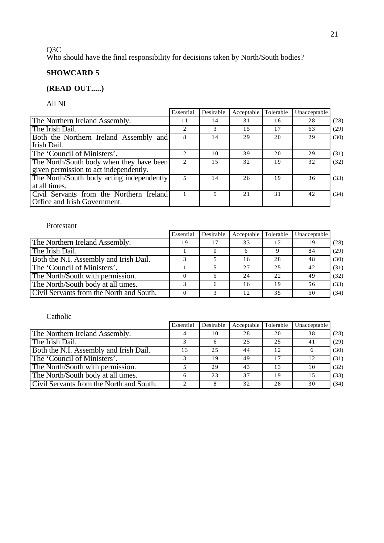# 21

#### Q3C

Who should have the final responsibility for decisions taken by North/South bodies?

# **SHOWCARD 5**

# **(READ OUT.....)**

All NI

|                                           | Essential      | Desirable | Acceptable | Tolerable | Unacceptable |      |
|-------------------------------------------|----------------|-----------|------------|-----------|--------------|------|
| The Northern Ireland Assembly.            | 11             | 14        | 31         | 16        | 28           | (28) |
| The Irish Dail.                           | $\mathfrak{D}$ |           | 1.5        | 17        | 63           | (29) |
| Both the Northern Ireland Assembly and    |                | 14        | 29         | 20        | 29           | (30) |
| Irish Dail.                               |                |           |            |           |              |      |
| The 'Council of Ministers'.               |                | 10        | 39         | 20        | 29           | (31) |
| The North/South body when they have been  |                | 1.5       | 32         | 19        | 32           | (32) |
| given permission to act independently.    |                |           |            |           |              |      |
| The North/South body acting independently |                | 14        | 26         | 19        | 36           | (33) |
| at all times.                             |                |           |            |           |              |      |
| Civil Servants from the Northern Ireland  |                |           | 2.1        | 31        | 42           | (34) |
| Office and Irish Government.              |                |           |            |           |              |      |

#### Protestant

|                                          | Essential | Desirable | Acceptable | Tolerable | Unacceptable |      |
|------------------------------------------|-----------|-----------|------------|-----------|--------------|------|
| The Northern Ireland Assembly.           | 19        | 17        | 33         | 12        | 19           | (28) |
| The Irish Dail.                          |           |           |            |           | 84           | (29) |
| Both the N.I. Assembly and Irish Dail.   |           |           | 16         | 28        | 48           | (30) |
| The 'Council of Ministers'.              |           |           | 27         | 2.5       | 42           | (31) |
| The North/South with permission.         |           |           | 24         | 22        | 49           | (32) |
| The North/South body at all times.       |           |           | 16         | 19        | 56           | (33) |
| Civil Servants from the North and South. |           |           | 12.        | 35        | 50           | (34) |

### Catholic

|                                          | Essential | Desirable | Acceptable | Tolerable | Unacceptable |      |
|------------------------------------------|-----------|-----------|------------|-----------|--------------|------|
| The Northern Ireland Assembly.           |           | 10        | 28         | 20        | 38           | (28) |
| The Irish Dail.                          |           |           | 25         | 2.5       | 41           | (29) |
| Both the N.I. Assembly and Irish Dail.   |           | 2.5       | 44         | 12        |              | (30) |
| The 'Council of Ministers'.              |           | 19        | 49         |           | 12           | (31) |
| The North/South with permission.         |           | 29        | 43         | 13        | 10           | (32) |
| The North/South body at all times.       |           | 23        | 37         | 19        | 15           | (33) |
| Civil Servants from the North and South. |           |           | 32         | 28        | 30           | (34) |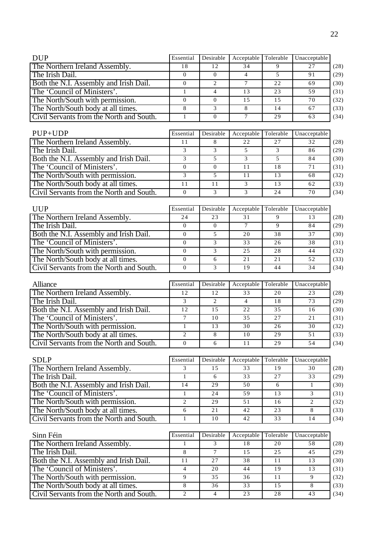| <b>DUP</b>                                                                     | Essential                  | Desirable            | Acceptable      | Tolerable       | Unacceptable                    |                                                                              |
|--------------------------------------------------------------------------------|----------------------------|----------------------|-----------------|-----------------|---------------------------------|------------------------------------------------------------------------------|
| The Northern Ireland Assembly.                                                 | 18                         | 12                   | 34              | 9               | 27                              | (28)                                                                         |
| The Irish Dail.                                                                | $\overline{0}$             | $\boldsymbol{0}$     | $\overline{4}$  | 5               | 91                              | (29)                                                                         |
| Both the N.I. Assembly and Irish Dail.                                         | $\overline{0}$             | $\overline{2}$       | $\overline{7}$  | 22              | 69                              | (30)                                                                         |
| The 'Council of Ministers'.                                                    | $\mathbf{1}$               | $\overline{4}$       | 13              | 23              | 59                              | (31)                                                                         |
| The North/South with permission.                                               | $\Omega$                   | $\overline{0}$       | 15              | $\overline{15}$ | 70                              | (32)                                                                         |
| The North/South body at all times.                                             | $\,8\,$                    | $\mathfrak{Z}$       | 8               | 14              | 67                              | (33)                                                                         |
| Civil Servants from the North and South.                                       | $\mathbf{1}$               | $\overline{0}$       | $7\phantom{.0}$ | 29              | 63                              | (34)                                                                         |
|                                                                                |                            |                      |                 |                 |                                 |                                                                              |
| $PUP+UDP$                                                                      | Essential                  | Desirable            | Acceptable      | Tolerable       | Unacceptable                    |                                                                              |
| The Northern Ireland Assembly.                                                 | 11                         | 8                    | 22              | 27              | 32                              | (28)                                                                         |
| The Irish Dail.                                                                | 3                          | 3                    | 5               | 3               | 86                              | (29)                                                                         |
| Both the N.I. Assembly and Irish Dail.                                         | $\overline{3}$             | $\overline{5}$       | $\overline{3}$  | $\overline{5}$  | 84                              | (30)                                                                         |
| The 'Council of Ministers'.                                                    | $\overline{0}$             | $\mathbf{0}$         | 11              | 18              | 71                              | (31)                                                                         |
| The North/South with permission.                                               | $\overline{3}$             | 5                    | 11              | 13              | 68                              | (32)                                                                         |
| The North/South body at all times.                                             | 11                         | 11                   | 3               | 13              | 62                              | (33)                                                                         |
| Civil Servants from the North and South.                                       | $\Omega$                   | 3                    | 3               | 24              | 70                              | (34)                                                                         |
|                                                                                |                            |                      |                 |                 |                                 |                                                                              |
| <b>UUP</b>                                                                     | Essential                  | Desirable            | Acceptable      | Tolerable       | Unacceptable                    |                                                                              |
| The Northern Ireland Assembly.                                                 | 24                         | 23                   | 31              | 9               | 13                              | (28)                                                                         |
| The Irish Dail.                                                                | $\overline{0}$             | $\boldsymbol{0}$     | $\overline{7}$  | 9               | 84                              | (29)                                                                         |
| Both the N.I. Assembly and Irish Dail.                                         | $\overline{0}$             | 5                    | 20              | 38              | 37                              | (30)                                                                         |
| The 'Council of Ministers'.                                                    | $\mathbf{0}$               | 3                    | $\overline{33}$ | 26              | 38                              | (31)                                                                         |
| The North/South with permission.                                               | $\boldsymbol{0}$           | 3                    | 25              | 28              | 44                              | (32)                                                                         |
| The North/South body at all times.                                             | $\boldsymbol{0}$           | 6                    | 21              | 21              | 52                              | (33)                                                                         |
| Civil Servants from the North and South.                                       | $\mathbf{0}$               | 3                    | 19              | 44              | 34                              | (34)                                                                         |
|                                                                                |                            |                      |                 |                 |                                 |                                                                              |
| Alliance                                                                       | Essential                  | Desirable            | Acceptable      | Tolerable       | Unacceptable                    |                                                                              |
| The Northern Ireland Assembly.                                                 | 12                         | 12                   | 33              | 20              | 23                              | (28)                                                                         |
| The Irish Dail.                                                                | $\overline{3}$             | 2                    | $\overline{4}$  | 18              | 73                              | (29)                                                                         |
| Both the N.I. Assembly and Irish Dail.                                         | 12                         | 15                   | 22              | 35              | 16                              | (30)                                                                         |
| The 'Council of Ministers'.                                                    | $\tau$                     | 10                   | 35              | $2\overline{7}$ | 21                              | (31)                                                                         |
| The North/South with permission.                                               |                            |                      |                 |                 |                                 |                                                                              |
|                                                                                |                            |                      |                 |                 |                                 |                                                                              |
|                                                                                | $\mathbf{1}$               | 13                   | 30              | 26              | 30                              |                                                                              |
| The North/South body at all times.                                             | $\overline{2}$             | 8                    | 10              | 29              | 51                              |                                                                              |
| Civil Servants from the North and South.                                       | $\overline{0}$             | 6                    | 11              | 29              | 54                              |                                                                              |
| <b>SDLP</b>                                                                    | Essential                  | Desirable            | Acceptable      | Tolerable       | Unacceptable                    |                                                                              |
| The Northern Ireland Assembly.                                                 | 3                          | 15                   | $\overline{33}$ | 19              | $\overline{30}$                 |                                                                              |
|                                                                                | 1                          | 6                    | $\overline{33}$ | $\overline{27}$ | 33                              |                                                                              |
| The Irish Dail.<br>Both the N.I. Assembly and Irish Dail.                      | $\overline{14}$            | 29                   | 50              | 6               | $\mathbf{1}$                    |                                                                              |
|                                                                                | $\mathbf{1}$               | 24                   | 59              | 13              | 3                               |                                                                              |
| The 'Council of Ministers'.                                                    |                            |                      |                 | 16              |                                 | (32)<br>(33)<br>(34)<br>(28)<br>(29)<br>(30)<br>(31)                         |
| The North/South with permission.                                               | $\overline{2}$             | 29                   | 51              |                 | $\overline{2}$                  |                                                                              |
| The North/South body at all times.                                             | $\sqrt{6}$<br>$\mathbf{1}$ | 21                   | 42              | 23              | $8\,$<br>14                     |                                                                              |
| Civil Servants from the North and South.                                       |                            | 10                   | 42              | 33              |                                 |                                                                              |
|                                                                                | Essential                  | Desirable            | Acceptable      | Tolerable       |                                 |                                                                              |
| Sinn Féin                                                                      | $\mathbf{1}$               | 3                    | 18              | 20              | Unacceptable<br>$\overline{58}$ |                                                                              |
| The Northern Ireland Assembly.                                                 |                            |                      |                 |                 |                                 |                                                                              |
| The Irish Dail.                                                                | $\overline{8}$             | $\tau$               | 15              | 25              | 45                              |                                                                              |
| Both the N.I. Assembly and Irish Dail.                                         | 11                         | $2\,7$               | 38              | 11              | 13                              |                                                                              |
| The 'Council of Ministers'.                                                    | $\overline{4}$             | 20                   | 44              | 19              | 13                              |                                                                              |
| The North/South with permission.                                               | 9                          | 35                   | 36              | $1\,1$          | 9                               |                                                                              |
| The North/South body at all times.<br>Civil Servants from the North and South. | 8<br>$\overline{2}$        | 36<br>$\overline{4}$ | 33<br>23        | 15<br>28        | 8<br>$\overline{43}$            | (32)<br>(33)<br>(34)<br>(28)<br>(29)<br>(30)<br>(31)<br>(32)<br>(33)<br>(34) |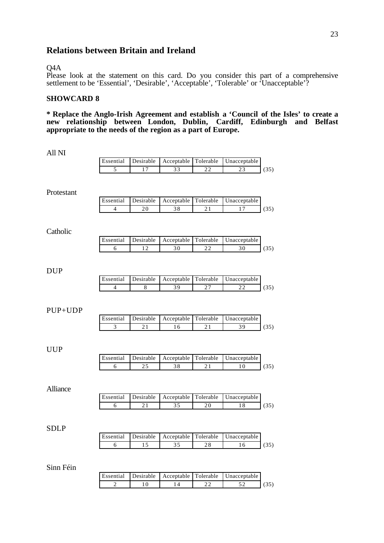### **Relations between Britain and Ireland**

#### Q4A

Please look at the statement on this card. Do you consider this part of a comprehensive settlement to be 'Essential', 'Desirable', 'Acceptable', 'Tolerable' or 'Unacceptable'?

### **SHOWCARD 8**

**\* Replace the Anglo-Irish Agreement and establish a 'Council of the Isles' to create a new relationship between London, Dublin, Cardiff, Edinburgh and Belfast appropriate to the needs of the region as a part of Europe.**

| All NI      |                |           |                                |             |                     |      |
|-------------|----------------|-----------|--------------------------------|-------------|---------------------|------|
|             | Essential      | Desirable | Acceptable                     | Tolerable   | Unacceptable        |      |
|             | 5              | 17        | 33                             | 22          | 23                  | (35) |
|             |                |           |                                |             |                     |      |
|             |                |           |                                |             |                     |      |
| Protestant  | Essential      | Desirable | Acceptable                     | Tolerable   | Unacceptable        |      |
|             | $\overline{4}$ | $20\,$    | 38                             | $2\sqrt{1}$ | $\overline{17}$     | (35) |
|             |                |           |                                |             |                     |      |
|             |                |           |                                |             |                     |      |
| Catholic    |                |           |                                |             |                     |      |
|             | Essential      | Desirable | Acceptable                     | Tolerable   | Unacceptable        |      |
|             | 6              | 12        | 30                             | 22          | $\overline{30}$     | (35) |
|             |                |           |                                |             |                     |      |
|             |                |           |                                |             |                     |      |
| <b>DUP</b>  | Essential      | Desirable |                                |             |                     |      |
|             |                |           | Acceptable                     | Tolerable   | Unacceptable<br>22  |      |
|             | $\overline{4}$ | 8         | 39                             | 27          |                     | (35) |
|             |                |           |                                |             |                     |      |
| $PUP+UDP$   |                |           |                                |             |                     |      |
|             | Essential      | Desirable | Acceptable                     | Tolerable   | Unacceptable        |      |
|             | $\mathfrak{Z}$ | 21        | 16                             | 21          | 39                  | (35) |
|             |                |           |                                |             |                     |      |
|             |                |           |                                |             |                     |      |
| <b>UUP</b>  |                |           |                                |             |                     |      |
|             | Essential      | Desirable | Acceptable                     | Tolerable   | Unacceptable        |      |
|             | 6              | 25        | 38                             | 21          | 10                  | (35) |
|             |                |           |                                |             |                     |      |
|             |                |           |                                |             |                     |      |
| Alliance    | Essential      | Desirable |                                | Tolerable   | Unacceptable        |      |
|             | 6              | 21        | Acceptable<br>35               | 20          | 18                  |      |
|             |                |           |                                |             |                     | (35) |
|             |                |           |                                |             |                     |      |
| <b>SDLP</b> |                |           |                                |             |                     |      |
|             | Essential      |           | Desirable Acceptable Tolerable |             | <b>Unacceptable</b> |      |
|             | $\sqrt{6}$     | 15        | 35                             | 28          | 16                  | (35) |
|             |                |           |                                |             |                     |      |
|             |                |           |                                |             |                     |      |
| Sinn Féin   |                |           |                                |             |                     |      |
|             | Essential      | Desirable | Acceptable                     | Tolerable   | Unacceptable        |      |
|             | $\overline{2}$ | $1\,0$    | 14                             | $2\sqrt{2}$ | 52                  | (35) |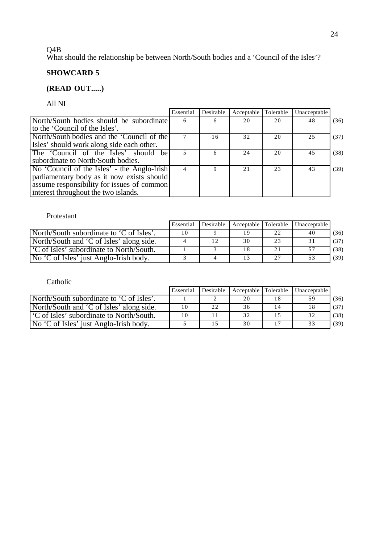#### 24

#### Q4B

What should the relationship be between North/South bodies and a 'Council of the Isles'?

# **SHOWCARD 5**

### **(READ OUT.....)**

All NI

|                                             | Essential | Desirable | Acceptable | Tolerable | Unacceptable |      |
|---------------------------------------------|-----------|-----------|------------|-----------|--------------|------|
| North/South bodies should be subordinate    | 6         | 6         | 20         | 20        | 48           | (36) |
| to the 'Council of the Isles'.              |           |           |            |           |              |      |
| North/South bodies and the 'Council of the  |           | 16        | 32         | 20        | 25           | (37) |
| Isles' should work along side each other.   |           |           |            |           |              |      |
| The 'Council of the Isles' should be        |           | 6         | 24         | 20        | 45           | (38) |
| subordinate to North/South bodies.          |           |           |            |           |              |      |
| No 'Council of the Isles' - the Anglo-Irish |           | Q         | 21         | 23        | 43           | (39) |
| parliamentary body as it now exists should  |           |           |            |           |              |      |
| assume responsibility for issues of common  |           |           |            |           |              |      |
| interest throughout the two islands.        |           |           |            |           |              |      |

#### Protestant

|                                                      | Essential | Desirable | Acceptable Tolerable |          | Unacceptable |      |
|------------------------------------------------------|-----------|-----------|----------------------|----------|--------------|------|
| North/South subordinate to 'C of Isles'.             | 10        |           | 19                   | $\gamma$ | 40           | (36) |
| North/South and 'C of Isles' along side.             |           | 12        | 30                   | 23       |              | (37) |
| <sup>1</sup> C of Isles' subordinate to North/South. |           |           | 18                   |          |              | (38) |
| No 'C of Isles' just Anglo-Irish body.               |           |           | 13                   | 27       |              | (39) |

Catholic

|                                                      | Essential | Desirable | Acceptable Tolerable | Unacceptable |      |
|------------------------------------------------------|-----------|-----------|----------------------|--------------|------|
| North/South subordinate to 'C of Isles'.             |           |           | 20                   |              | (36) |
| North/South and 'C of Isles' along side.             | 10        | 22        | 36                   |              | (37) |
| <sup>1</sup> C of Isles' subordinate to North/South. | 10        |           | 32                   | 32           | (38) |
| No 'C of Isles' just Anglo-Irish body.               |           |           | 30                   | 33           | (39) |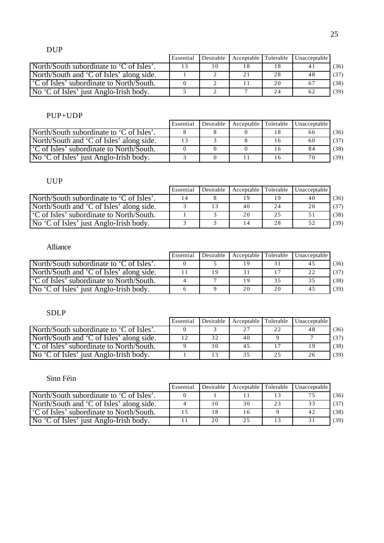# DUP

|                                                      | Essential | Desirable | Acceptable Tolerable |     | Unacceptable |      |
|------------------------------------------------------|-----------|-----------|----------------------|-----|--------------|------|
| North/South subordinate to 'C of Isles'.             |           | 10        | 18                   |     |              | (36) |
| North/South and 'C of Isles' along side.             |           |           |                      | 28  | 48           | (37) |
| <sup>1</sup> C of Isles' subordinate to North/South. |           |           |                      | 20  | -67          | (38) |
| No 'C of Isles' just Anglo-Irish body.               |           |           |                      | 2.4 | 62           | (39) |

### PUP+UDP

|                                                      | Essential | Desirable | Acceptable Tolerable | <b>Unacceptable</b> |      |
|------------------------------------------------------|-----------|-----------|----------------------|---------------------|------|
| North/South subordinate to 'C of Isles'.             |           |           |                      | 66                  | (36) |
| North/South and $\overline{C}$ of Isles' along side. |           |           |                      | 60                  | (37) |
| C of Isles' subordinate to North/South.              |           |           |                      |                     | (38) |
| No 'C of Isles' just Anglo-Irish body.               |           |           |                      | 70                  | (39) |

# UUP

|                                                      | Essential | Desirable | Acceptable Tolerable |    | Unacceptable |      |
|------------------------------------------------------|-----------|-----------|----------------------|----|--------------|------|
| North/South subordinate to 'C of Isles'.             | 14        |           | 19                   |    | 40           | (36) |
| North/South and 'C of Isles' along side.             |           | 13        | 40                   | 24 | 20           | (37) |
| <sup>1</sup> C of Isles' subordinate to North/South. |           |           | 20                   | 25 |              | (38) |
| No 'C of Isles' just Anglo-Irish body.               |           |           | 14                   | 28 |              | (39) |

# Alliance

|                                                                | Essential | Desirable |     |    | Acceptable Tolerable Unacceptable |      |
|----------------------------------------------------------------|-----------|-----------|-----|----|-----------------------------------|------|
| North/South subordinate to 'C of Isles'.                       |           |           | 1 Q |    |                                   | (36) |
| North/South and 'C of Isles' along side.                       |           | 19        |     |    |                                   | (37) |
| 'C of Isles' subordinate to North/South.                       |           |           | 19  |    |                                   | (38) |
| $\overline{N}$ $\overline{C}$ of Isles' just Anglo-Irish body. |           |           | 20  | 20 |                                   | (39) |

# SDLP

|                                                      | Essential | Desirable | Acceptable Tolerable |    | Unacceptable |      |
|------------------------------------------------------|-----------|-----------|----------------------|----|--------------|------|
| North/South subordinate to 'C of Isles'.             |           |           | 27                   | っっ |              | (36) |
| North/South and 'C of Isles' along side.             |           | 32        | 40                   |    |              | (37) |
| <sup>1</sup> C of Isles' subordinate to North/South. |           | 10        | 45                   |    |              | (38) |
| No 'C of Isles' just Anglo-Irish body.               |           | 13        | 35                   | 25 |              | (39) |

### Sinn Féin

|                                                      | Essential |    | Desirable Acceptable Tolerable |    | Unacceptable |      |
|------------------------------------------------------|-----------|----|--------------------------------|----|--------------|------|
| North/South subordinate to 'C of Isles'.             |           |    |                                |    |              | (36) |
| North/South and 'C of Isles' along side.             |           | 10 | 30                             | 23 | 33           | (37) |
| <sup>1</sup> C of Isles' subordinate to North/South. |           | 18 | 16                             |    | 42           | (38) |
| No 'C of Isles' just Anglo-Irish body.               |           | 20 | 25                             |    |              | (39) |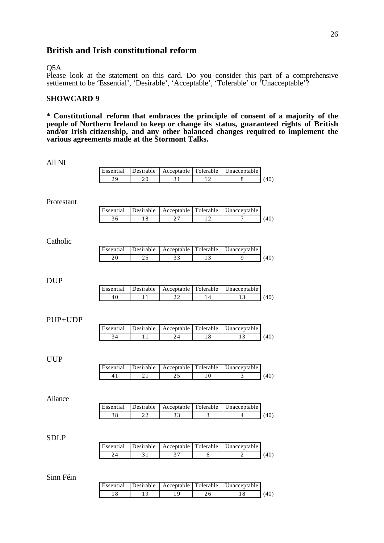### **British and Irish constitutional reform**

#### Q5A

Please look at the statement on this card. Do you consider this part of a comprehensive settlement to be 'Essential', 'Desirable', 'Acceptable', 'Tolerable' or 'Unacceptable'?

#### **SHOWCARD 9**

**\* Constitutional reform that embraces the principle of consent of a majority of the people of Northern Ireland to keep or change its status, guaranteed rights of British and/or Irish citizenship, and any other balanced changes required to implement the various agreements made at the Stormont Talks.**

| All NI      |           |                 |                      |                 |                 |      |
|-------------|-----------|-----------------|----------------------|-----------------|-----------------|------|
|             | Essential | Desirable       | Acceptable           | Tolerable       | Unacceptable    |      |
|             | 29        | $20\,$          | 31                   | 12              | $\,$ 8 $\,$     | (40) |
|             |           |                 |                      |                 |                 |      |
| Protestant  |           |                 |                      |                 |                 |      |
|             | Essential | Desirable       | Acceptable           | Tolerable       | Unacceptable    |      |
|             | 36        | 18              | 27                   | 12              | 7               | (40) |
|             |           |                 |                      |                 |                 |      |
|             |           |                 |                      |                 |                 |      |
| Catholic    |           |                 |                      |                 |                 |      |
|             | Essential | Desirable       | Acceptable           | Tolerable       | Unacceptable    |      |
|             | 20        | 25              | $\overline{33}$      | $\overline{13}$ | 9               | (40) |
|             |           |                 |                      |                 |                 |      |
| <b>DUP</b>  |           |                 |                      |                 |                 |      |
|             | Essential | Desirable       | Acceptable           | Tolerable       | Unacceptable    |      |
|             | 40        | 11              | $\overline{22}$      | 14              | $\overline{13}$ | (40) |
|             |           |                 |                      |                 |                 |      |
|             |           |                 |                      |                 |                 |      |
| PUP+UDP     |           |                 |                      |                 |                 |      |
|             | Essential | Desirable       | Acceptable           | Tolerable       | Unacceptable    |      |
|             | 34        | 11              | 24                   | 18              | 13              | (40) |
|             |           |                 |                      |                 |                 |      |
|             |           |                 |                      |                 |                 |      |
| <b>UUP</b>  |           |                 |                      |                 |                 |      |
|             | Essential | Desirable       | Acceptable           | Tolerable       | Unacceptable    |      |
|             | 41        | $\overline{21}$ | $\overline{25}$      | 10              | $\overline{3}$  | (40) |
|             |           |                 |                      |                 |                 |      |
| Aliance     |           |                 |                      |                 |                 |      |
|             | Essential | Desirable       | Acceptable           | Tolerable       | Unacceptable    |      |
|             | 38        | 22              | 33                   | 3               | $\overline{4}$  | (40) |
|             |           |                 |                      |                 |                 |      |
|             |           |                 |                      |                 |                 |      |
| <b>SDLP</b> |           |                 |                      |                 |                 |      |
|             | Essential | Desirable       | Acceptable           | Tolerable       | Unacceptable    |      |
|             | 24        | 31              | 37                   | 6               | 2               | (40) |
|             |           |                 |                      |                 |                 |      |
|             |           |                 |                      |                 |                 |      |
| Sinn Féin   |           |                 |                      |                 |                 |      |
|             | Essential | Desirable       | Acceptable Tolerable |                 | Unacceptable    |      |

18 19 19 26 18 (40)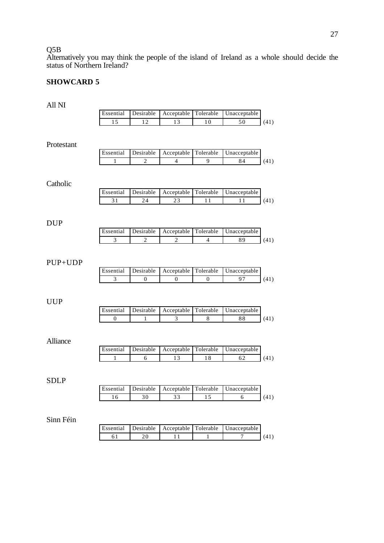Q5B

Alternatively you may think the people of the island of Ireland as a whole should decide the status of Northern Ireland?

### **SHOWCARD 5**

| All NI          |                |                |                              |                          |              |      |
|-----------------|----------------|----------------|------------------------------|--------------------------|--------------|------|
|                 | Essential      | Desirable      | Acceptable                   | Tolerable                | Unacceptable |      |
|                 | 15             | 12             | 13                           | 10                       | 50           | (41) |
| Protestant      |                |                |                              |                          |              |      |
|                 | Essential      | Desirable      | Acceptable                   | Tolerable                | Unacceptable |      |
|                 | 1              | $\overline{c}$ | 4                            | 9                        | 84           | (41) |
| Catholic        |                |                |                              |                          |              |      |
|                 | Essential      | Desirable      | Acceptable                   | Tolerable                | Unacceptable |      |
|                 | 31             | 24             | 23                           | 11                       | 11           | (41) |
| DUP             | Essential      | Desirable      |                              |                          | Unacceptable |      |
|                 |                | $\overline{2}$ | Acceptable<br>$\overline{2}$ | Tolerable                | 89           |      |
|                 | $\mathfrak{Z}$ |                |                              | $\overline{\mathcal{L}}$ |              | (41) |
| PUP+UDP         | Essential      | Desirable      | Acceptable                   | Tolerable                | Unacceptable |      |
|                 | 3              | 0              | 0                            | $\boldsymbol{0}$         | 97           | (41) |
| <b>UUP</b>      |                |                |                              |                          |              |      |
|                 | Essential      | Desirable      | Acceptable                   | Tolerable                | Unacceptable |      |
|                 | $\mathbf{0}$   | 1              | 3                            | 8                        | 88           | (41) |
| <b>Alliance</b> |                |                |                              |                          |              |      |
|                 | Essential      | Desirable      | Acceptable                   | Tolerable                | Unacceptable |      |
|                 | 1              | 6              | 13                           | 18                       | 62           | (41) |
| <b>SDLP</b>     |                |                |                              |                          |              |      |
|                 | Essential      | Desirable      | Acceptable                   | Tolerable                | Unacceptable |      |
|                 | 16             | 30             | 33                           | 15                       | $\epsilon$   | (41) |
| Sinn Féin       |                |                |                              |                          |              |      |
|                 | Essential      | Desirable      | Acceptable                   | Tolerable                | Unacceptable |      |
|                 | 61             | $2\,0$         | 11                           | 1                        | 7            | (41) |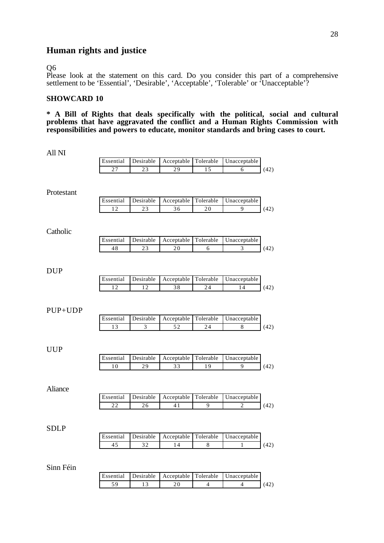# **Human rights and justice**

#### Q6

Please look at the statement on this card. Do you consider this part of a comprehensive settlement to be 'Essential', 'Desirable', 'Acceptable', 'Tolerable' or 'Unacceptable'?

### **SHOWCARD 10**

**\* A Bill of Rights that deals specifically with the political, social and cultural problems that have aggravated the conflict and a Human Rights Commission with responsibilities and powers to educate, monitor standards and bring cases to court.**

| All NI      |                 |                 |                      |                 |                |      |
|-------------|-----------------|-----------------|----------------------|-----------------|----------------|------|
|             | Essential       | Desirable       | Acceptable           | Tolerable       | Unacceptable   |      |
|             | 27              | 23              | $\overline{29}$      | $\overline{15}$ | 6              | (42) |
|             |                 |                 |                      |                 |                |      |
|             |                 |                 |                      |                 |                |      |
| Protestant  |                 |                 |                      |                 |                |      |
|             | Essential       | Desirable       | Acceptable           | Tolerable       | Unacceptable   |      |
|             | 12              | $\overline{23}$ | 36                   | 20              | 9              | (42) |
|             |                 |                 |                      |                 |                |      |
| Catholic    |                 |                 |                      |                 |                |      |
|             | Essential       | Desirable       | Acceptable           | Tolerable       | Unacceptable   |      |
|             | 48              | $\overline{23}$ | 20                   | 6               | 3              | (42) |
|             |                 |                 |                      |                 |                |      |
|             |                 |                 |                      |                 |                |      |
| <b>DUP</b>  |                 |                 |                      |                 |                |      |
|             | Essential       | Desirable       | Acceptable           | Tolerable       | Unacceptable   |      |
|             | $\overline{12}$ | $\overline{12}$ | 38                   | 24              | 14             | (42) |
|             |                 |                 |                      |                 |                |      |
|             |                 |                 |                      |                 |                |      |
| PUP+UDP     |                 |                 |                      |                 |                |      |
|             | Essential       | Desirable       | Acceptable           | Tolerable       | Unacceptable   |      |
|             | 13              | 3               | 52                   | 24              | 8              | (42) |
|             |                 |                 |                      |                 |                |      |
|             |                 |                 |                      |                 |                |      |
| <b>UUP</b>  |                 |                 |                      |                 |                |      |
|             | Essential       | Desirable       | Acceptable           | Tolerable       | Unacceptable   |      |
|             | 10              | 29              | 33                   | 19              | 9              | (42) |
|             |                 |                 |                      |                 |                |      |
| Aliance     |                 |                 |                      |                 |                |      |
|             | Essential       | Desirable       | Acceptable           | Tolerable       | Unacceptable   |      |
|             | 22              | 26              | 41                   | 9               | $\overline{2}$ | (42) |
|             |                 |                 |                      |                 |                |      |
|             |                 |                 |                      |                 |                |      |
| <b>SDLP</b> |                 |                 |                      |                 |                |      |
|             | Essential       | Desirable       | Acceptable           | Tolerable       | Unacceptable   |      |
|             | 45              | 32              | 14                   | 8               | 1              | (42) |
|             |                 |                 |                      |                 |                |      |
|             |                 |                 |                      |                 |                |      |
| Sinn Féin   |                 |                 |                      |                 |                |      |
|             | Essential       | Desirable       | Acceptable Tolerable |                 | Unacceptable   |      |

59 13 20 4 4 (42)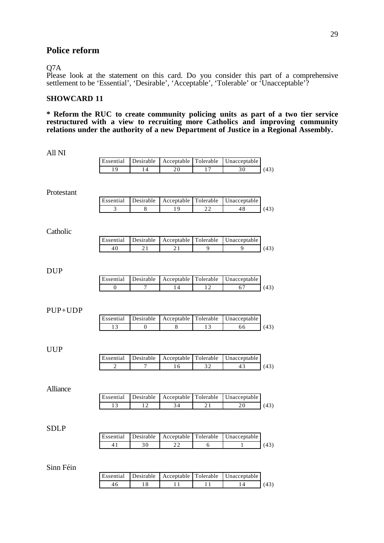### **Police reform**

#### Q7A

Please look at the statement on this card. Do you consider this part of a comprehensive settlement to be 'Essential', 'Desirable', 'Acceptable', 'Tolerable' or 'Unacceptable'?

### **SHOWCARD 11**

**\* Reform the RUC to create community policing units as part of a two tier service restructured with a view to recruiting more Catholics and improving community** relations under the authority of a new Department of Justice in a Regional Assembly.

| All NI          |                 |                               |                               |                 |                                                       |      |
|-----------------|-----------------|-------------------------------|-------------------------------|-----------------|-------------------------------------------------------|------|
|                 | Essential       | Desirable                     | Acceptable                    | Tolerable       | Unacceptable                                          |      |
|                 | 19              | 14                            | 20                            | 17              | 30                                                    | (43) |
| Protestant      |                 |                               |                               |                 |                                                       |      |
|                 | Essential       | Desirable                     | Acceptable                    | Tolerable       | Unacceptable                                          |      |
|                 | 3               | $\,$ 8 $\,$                   | 19                            | 22              | $\overline{48}$                                       | (43) |
| Catholic        |                 |                               |                               |                 |                                                       |      |
|                 | Essential       | Desirable                     | Acceptable                    | Tolerable       | Unacceptable                                          |      |
|                 | 40              | 21                            | 21                            | 9               | 9                                                     | (43) |
| DUP             |                 |                               |                               |                 |                                                       |      |
|                 | Essential       | Desirable                     | Acceptable                    | Tolerable       | Unacceptable                                          |      |
|                 | $\mathbf{0}$    | $\overline{7}$                | 14                            | 12              | 67                                                    | (43) |
| PUP+UDP         | Essential<br>13 | Desirable<br>$\boldsymbol{0}$ | Acceptable<br>8               | Tolerable<br>13 | Unacceptable<br>66                                    | (43) |
| <b>UUP</b>      |                 |                               |                               |                 |                                                       |      |
|                 | Essential       | Desirable                     | Acceptable                    | Tolerable       | Unacceptable                                          |      |
|                 | $\overline{2}$  | 7                             | 16                            | 32              | 43                                                    | (43) |
| <b>Alliance</b> | Essential       | Desirable                     |                               | Tolerable       |                                                       |      |
|                 | 13              | 12                            | Acceptable<br>$\overline{34}$ | 21              | Unacceptable<br>20                                    | (43) |
| <b>SDLP</b>     |                 |                               |                               |                 |                                                       |      |
|                 |                 |                               |                               |                 | Essential Desirable Acceptable Tolerable Unacceptable |      |
|                 | 41              | 30                            | 22                            | $\overline{6}$  | $\mathbf{1}$                                          | (43) |
| Sinn Féin       |                 |                               |                               |                 |                                                       |      |
|                 | Essential       | Desirable                     | Acceptable                    | Tolerable       | Unacceptable                                          |      |
|                 | $\overline{46}$ | $\overline{18}$               | 11                            | $1\,1$          | 14                                                    | (43) |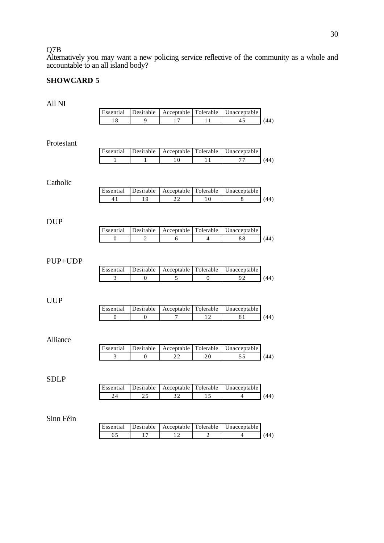### Q7B

Alternatively you may want a new policing service reflective of the community as a whole and accountable to an all island body?

# **SHOWCARD 5**

| All NI      |                             |                               |                               |                               |                                 |      |
|-------------|-----------------------------|-------------------------------|-------------------------------|-------------------------------|---------------------------------|------|
|             | Essential                   | Desirable                     | Acceptable                    | Tolerable                     | Unacceptable                    |      |
|             | 18                          | $\overline{9}$                | 17                            | 11                            | 45                              | (44) |
| Protestant  |                             |                               |                               |                               |                                 |      |
|             | Essential                   | Desirable                     | Acceptable                    | Tolerable                     | Unacceptable                    |      |
|             | 1                           | 1                             | 10                            | 11                            | 77                              | (44) |
| Catholic    | Essential                   | Desirable                     | Acceptable                    | Tolerable                     | Unacceptable                    |      |
|             | 41                          | $\overline{19}$               | 22                            | $\overline{10}$               | $\,$ 8 $\,$                     | (44) |
| <b>DUP</b>  | Essential                   | Desirable                     | Acceptable                    | Tolerable                     | Unacceptable                    |      |
|             | $\boldsymbol{0}$            | $\overline{c}$                | 6                             | $\overline{\mathcal{L}}$      | 88                              | (44) |
| PUP+UDP     | Essential<br>3              | Desirable<br>$\boldsymbol{0}$ | Acceptable<br>5               | Tolerable<br>$\boldsymbol{0}$ | Unacceptable<br>92              | (44) |
| <b>UUP</b>  | Essential                   | Desirable                     | Acceptable                    | Tolerable                     | Unacceptable                    |      |
|             | $\overline{0}$              | $\boldsymbol{0}$              | 7                             | 12                            | 81                              | (44) |
| Alliance    | Essential<br>$\overline{3}$ | Desirable<br>$\theta$         | Acceptable<br>$\overline{22}$ | Tolerable<br>20               | Unacceptable<br>$\overline{55}$ | (44) |
| <b>SDLP</b> | Essential                   | Desirable                     | Acceptable                    | Tolerable                     | Unacceptable                    |      |
|             | 24                          | $\overline{25}$               | 32                            | 15                            | $\overline{4}$                  | (44) |
|             |                             |                               |                               |                               |                                 |      |
| Sinn Féin   | Essential                   | Desirable                     | Acceptable                    | Tolerable                     | Unacceptable                    |      |
|             |                             |                               |                               |                               |                                 |      |
|             | 65                          | 17                            | 12                            | $\overline{c}$                | $\overline{4}$                  | (44) |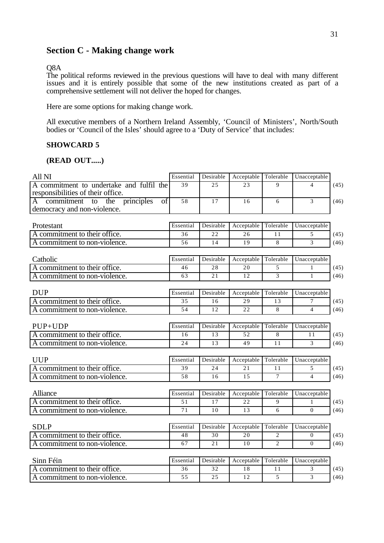# **Section C - Making change work**

#### Q8A

The political reforms reviewed in the previous questions will have to deal with many different issues and it is entirely possible that some of the new institutions created as part of a comprehensive settlement will not deliver the hoped for changes.

Here are some options for making change work.

All executive members of a Northern Ireland Assembly, 'Council of Ministers', North/South bodies or 'Council of the Isles' should agree to a 'Duty of Service' that includes:

### **SHOWCARD 5**

#### **(READ OUT.....)**

| All NI                                                                          | Essential       | Desirable | Acceptable      | Tolerable       | Unacceptable            |      |
|---------------------------------------------------------------------------------|-----------------|-----------|-----------------|-----------------|-------------------------|------|
| A commitment to undertake and fulfil the<br>responsibilities of their office.   | 39              | 25        | 23              | $\mathbf Q$     | $\overline{\mathbf{4}}$ | (45) |
| principles<br>commitment<br>the<br>of<br>to<br>A<br>democracy and non-violence. | 58              | 17        | 16              | 6               | $\overline{3}$          | (46) |
| Protestant                                                                      | Essential       | Desirable | Acceptable      | Tolerable       | Unacceptable            |      |
| A commitment to their office.                                                   | 36              | 22        | 26              | 11              | 5                       | (45) |
| A commitment to non-violence.                                                   | 56              | 14        | 19              | 8               | 3                       | (46) |
| Catholic                                                                        | Essential       | Desirable | Acceptable      | Tolerable       | Unacceptable            |      |
| A commitment to their office.                                                   | 46              | 28        | 20              | 5               | 1                       | (45) |
| A commitment to non-violence.                                                   | 63              | 21        | 12              | 3               | $\mathbf{1}$            | (46) |
| <b>DUP</b>                                                                      | Essential       | Desirable | Acceptable      | Tolerable       | Unacceptable            |      |
| A commitment to their office.                                                   | 35              | 16        | 29              | 13              | $\overline{7}$          | (45) |
| A commitment to non-violence.                                                   | 54              | 12        | 22              | 8               | $\overline{4}$          | (46) |
|                                                                                 |                 |           |                 |                 |                         |      |
| $PUP+UDP$                                                                       | Essential       | Desirable | Acceptable      | Tolerable       | Unacceptable            |      |
| A commitment to their office.                                                   | 16              | 13        | 52              | 8               | 11                      | (45) |
| A commitment to non-violence.                                                   | 24              | 13        | 49              | 11              | $\overline{3}$          | (46) |
| <b>UUP</b>                                                                      | Essential       | Desirable | Acceptable      | Tolerable       | Unacceptable            |      |
| A commitment to their office.                                                   | $\overline{39}$ | 24        | $\overline{21}$ | $\overline{11}$ | 5                       | (45) |
| A commitment to non-violence.                                                   | 58              | 16        | 15              | $\overline{7}$  | $\overline{4}$          | (46) |
| Alliance                                                                        | Essential       | Desirable | Acceptable      | Tolerable       | Unacceptable            |      |
| A commitment to their office.                                                   | 51              | 17        | 22              | 9               | $\mathbf{1}$            | (45) |
| A commitment to non-violence.                                                   | 71              | 10        | 13              | 6               | $\Omega$                | (46) |
| <b>SDLP</b>                                                                     | Essential       | Desirable | Acceptable      | Tolerable       | Unacceptable            |      |
| A commitment to their office.                                                   | 48              | 30        | 20              | $\overline{c}$  | $\Omega$                | (45) |
| A commitment to non-violence.                                                   | 67              | 21        | 10              | $\overline{2}$  | $\Omega$                | (46) |
|                                                                                 |                 |           |                 |                 |                         |      |
| Sinn Féin                                                                       | Essential       | Desirable | Acceptable      | Tolerable       | Unacceptable            |      |
| A commitment to their office.                                                   | 36              | 32        | 18              | 11              | 3                       | (45) |
| A commitment to non-violence.                                                   | 55              | 25        | 12              | $\overline{5}$  | $\overline{3}$          | (46) |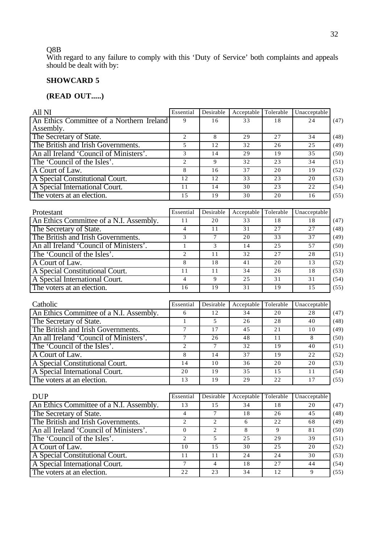#### Q8B

With regard to any failure to comply with this 'Duty of Service' both complaints and appeals should be dealt with by:

# **SHOWCARD 5**

### **(READ OUT.....)**

| Essential                                      | Desirable | Acceptable | Tolerable | Unacceptable |      |
|------------------------------------------------|-----------|------------|-----------|--------------|------|
| An Ethics Committee of a Northern Ireland<br>9 | 16        | 33         | 18        | 24           | (47) |
|                                                |           |            |           |              |      |
| 2                                              | 8         | 29         | 27        | 34           | (48) |
| 5                                              | 12        | 32         | 26        | 25           | (49) |
| 3                                              | 14        | 29         | 19        | 35           | (50) |
| 2                                              | 9         | 32         | 23        | 34           | (51) |
| 8                                              | 16        | 37         | 20        | 19           | (52) |
| 12                                             | 12        | 33         | 23        | 20           | (53) |
| 11                                             | 14        | 30         | 23        | 22           | (54) |
| 15                                             | 19        | 30         | 20        | 16           | (55) |
|                                                |           |            |           |              |      |
| Essential                                      | Desirable | Acceptable | Tolerable | Unacceptable |      |
|                                                |           |            |           |              |      |

| T TURNATIL                              | рээспиан | DUSHAUIU | Treepland | TORROR | <b>Unaccepiane</b> |      |
|-----------------------------------------|----------|----------|-----------|--------|--------------------|------|
| An Ethics Committee of a N.I. Assembly. |          | 20       | 33        | 18     | 18                 | (47) |
| The Secretary of State.                 |          |          | 31        | 2.7    | 27                 | (48) |
| The British and Irish Governments.      |          |          | 20        | 33     | 37                 | (49) |
| An all Ireland 'Council of Ministers'.  |          |          | 14        | 25     | 57                 | (50) |
| The 'Council of the Isles'.             |          |          | 32        | 27     | 28                 | (51) |
| A Court of Law.                         |          | 18       | 41        | 20     |                    | (52) |
| A Special Constitutional Court.         |          |          | 34        | 26     | 18                 | (53) |
| A Special International Court.          |          | о        | 25        | 31     | 31                 | (54) |
| The voters at an election.              | 16       | 19       | 31        | 19     |                    | (55) |

| Catholic                                | Essential | Desirable | Acceptable Tolerable |     | Unacceptable |      |
|-----------------------------------------|-----------|-----------|----------------------|-----|--------------|------|
| An Ethics Committee of a N.I. Assembly. |           | 12        | 34                   | 20  | 28           | (47) |
| The Secretary of State.                 |           |           | 26                   | 28  | 40           | (48) |
| The British and Irish Governments.      |           | 17        | 45                   | 2.1 | 10           | (49) |
| An all Ireland 'Council of Ministers'.  |           | 26        | 48                   |     | 8            | (50) |
| The 'Council of the Isles'.             |           |           | 32                   | 19  | 40           | (51) |
| A Court of Law.                         |           | 14        | 37                   | 19  | 22           | (52) |
| A Special Constitutional Court.         | 14        | 10        | 36                   | 20  | 20           | (53) |
| A Special International Court.          | 20        | 19        | 35                   | 1.5 | 11           | (54) |
| The voters at an election.              | 13        | 19        | 29                   | 22  |              | (55) |

| <b>DUP</b>                              | Essential | Desirable      | Acceptable Tolerable |    | Unacceptable |      |
|-----------------------------------------|-----------|----------------|----------------------|----|--------------|------|
| An Ethics Committee of a N.I. Assembly. | 13        | 15             | 34                   | 18 | 20           | (47) |
| The Secretary of State.                 |           |                | 18                   | 26 | 45           | (48) |
| The British and Irish Governments.      |           | 2              | 6                    | 22 | 68           | (49) |
| An all Ireland 'Council of Ministers'.  |           | $\mathfrak{D}$ |                      |    | 81           | (50) |
| The 'Council of the Isles'.             |           |                | 25                   | 29 | 39           | (51) |
| A Court of Law.                         | 10        | 15             | 30                   | 25 | 20           | (52) |
| A Special Constitutional Court.         |           | 11             | 24                   | 24 | 30           | (53) |
| A Special International Court.          |           | 4              | 18                   | 27 | 44           | (54) |
| The voters at an election.              | 22.       | 23             | 34                   | 12 |              | (55) |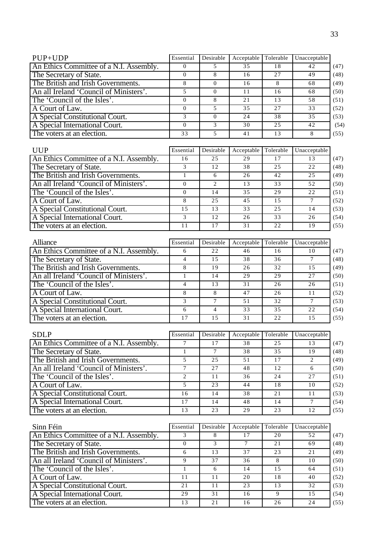| 35<br>16<br>16<br>11 | 18<br>27<br>16 | 42<br>49<br>68<br>68 | (47)<br>(48)<br>(49)<br>(50) |
|----------------------|----------------|----------------------|------------------------------|
|                      |                |                      |                              |
|                      |                |                      |                              |
|                      |                |                      |                              |
|                      |                |                      |                              |
| 21                   | 13             | 58                   | (51)                         |
| 35                   | 27             | 33                   | (52)                         |
| 24                   | 38             | 35                   | (53)                         |
| 30                   | 25             | 42                   | (54)                         |
| 41                   | 13             |                      | (55)                         |
|                      |                |                      |                              |

| <b>UUP</b>                              | Essential | Desirable                     | Acceptable | Tolerable | Unacceptable |      |
|-----------------------------------------|-----------|-------------------------------|------------|-----------|--------------|------|
| An Ethics Committee of a N.I. Assembly. | 16        | 25                            | 29         |           | 13           | (47) |
| The Secretary of State.                 |           | 12                            | 38         | 25        | 22           | (48) |
| The British and Irish Governments.      |           | 6                             | 26         | 42        | 25           | (49) |
| An all Ireland 'Council of Ministers'.  |           | $\mathfrak{D}_{\mathfrak{p}}$ | 13         | 33        | 52           | (50) |
| The 'Council of the Isles'.             |           | 14                            | 35         | 29        | 22           | (51) |
| A Court of Law.                         | 8         | 25                            | 45         | 1.5       |              | (52) |
| A Special Constitutional Court.         | 1.5       | 13                            | 33         | 25        | 14           | (53) |
| A Special International Court.          |           | 12                            | 26         | 33        | 26           | (54) |
| The voters at an election.              |           | 17                            | 31         | 22        | 19           | (55) |

| Alliance                                | Essential | Desirable | Acceptable Tolerable |    | Unacceptable |      |
|-----------------------------------------|-----------|-----------|----------------------|----|--------------|------|
| An Ethics Committee of a N.I. Assembly. |           | 22        | 46                   | 16 | 10           | (47) |
| The Secretary of State.                 |           | 1.5       | 38                   | 36 |              | (48) |
| The British and Irish Governments.      |           | 19        | 26                   | 32 | 15           | (49) |
| An all Ireland 'Council of Ministers'.  |           | 14        | 29                   | 29 | 27           | (50) |
| The 'Council of the Isles'.             |           | 13        | 31                   | 26 | 26           | (51) |
| A Court of Law.                         |           | 8         | 47                   | 26 | 11           | (52) |
| A Special Constitutional Court.         |           |           | 51                   | 32 |              | (53) |
| A Special International Court.          | 6         | 4         | 33                   | 35 | 22           | (54) |
| The voters at an election.              |           | 1.5       | 31                   | 22 | 1.5          | (55) |

| <b>SDLP</b>                             | Essential | Desirable | Acceptable | Tolerable | Unacceptable |      |
|-----------------------------------------|-----------|-----------|------------|-----------|--------------|------|
| An Ethics Committee of a N.I. Assembly. |           |           | 38         | 25        | 13           | (47) |
| The Secretary of State.                 |           |           | 38         | 35        | 19           | (48) |
| The British and Irish Governments.      |           | 25        | 51         | 17        |              | (49) |
| An all Ireland 'Council of Ministers'.  |           | 27        | 48         | 12        | 6            | (50) |
| The 'Council of the Isles'.             |           | 11        | 36         | 24        | 27           | (51) |
| A Court of Law.                         | 5         | 23        | 44         | 18        | 10           | (52) |
| A Special Constitutional Court.         | l 6       | 14        | 38         | 2.1       | 11           | (53) |
| A Special International Court.          | 17        | 14        | 48         | 14        |              | (54) |
| The voters at an election.              | 13        | 23        | 29         | 23        | 12           | (55) |

| Sinn Féin                               | Essential | Desirable | Acceptable | Tolerable | Unacceptable |      |
|-----------------------------------------|-----------|-----------|------------|-----------|--------------|------|
| An Ethics Committee of a N.I. Assembly. |           | 8         | 17         | 20        | 52           | (47) |
| The Secretary of State.                 |           |           |            | 2.1       | 69           | (48) |
| The British and Irish Governments.      | 6         | 13        | 37         | 23        | 21           | (49) |
| An all Ireland 'Council of Ministers'.  |           | 37        | 36         | 8         | 10           | (50) |
| The 'Council of the Isles'.             |           | 6         | 14         | 15        | 64           | (51) |
| A Court of Law.                         | 11        | 11        | 20         | 18        | 40           | (52) |
| A Special Constitutional Court.         | 21        | 11        | 23         | 13        | 32           | (53) |
| A Special International Court.          | 29        | 31        | 16         |           | 15           | (54) |
| The voters at an election.              | 13        | 21        | 16         | 26        | 24           | (55) |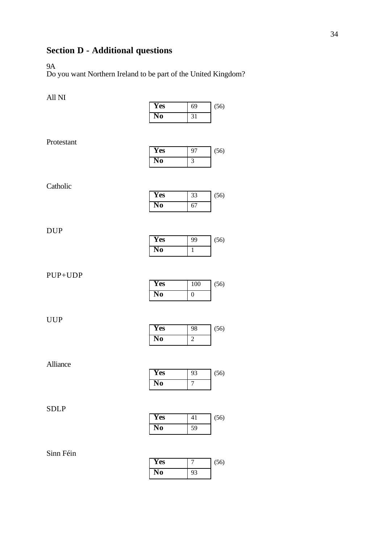# **Section D - Additional questions**

### 9A

Do you want Northern Ireland to be part of the United Kingdom?

# All NI

| * *** * **  |                              |                             |      |
|-------------|------------------------------|-----------------------------|------|
|             | <b>Yes</b>                   | 69                          | (56) |
|             | N <sub>0</sub>               | 31                          |      |
|             |                              |                             |      |
| Protestant  |                              |                             |      |
|             | <b>Yes</b>                   | 97                          | (56) |
|             | N <sub>0</sub>               | $\ensuremath{\mathfrak{Z}}$ |      |
|             |                              |                             |      |
| Catholic    |                              |                             |      |
|             | <b>Yes</b>                   | 33                          | (56) |
|             | $\overline{\text{No}}$       | 67                          |      |
|             |                              |                             |      |
|             |                              |                             |      |
| <b>DUP</b>  | <b>Yes</b>                   | 99                          | (56) |
|             | N <sub>0</sub>               | $\,1\,$                     |      |
|             |                              |                             |      |
|             |                              |                             |      |
| PUP+UDP     | Yes                          | 100                         | (56) |
|             | N <sub>0</sub>               | $\boldsymbol{0}$            |      |
|             |                              |                             |      |
|             |                              |                             |      |
| <b>UUP</b>  | Yes                          | 98                          | (56) |
|             | N <sub>0</sub>               | $\boldsymbol{2}$            |      |
|             |                              |                             |      |
|             |                              |                             |      |
| Alliance    | Yes                          | 93                          |      |
|             | N <sub>0</sub>               | $\boldsymbol{7}$            | (56) |
|             |                              |                             |      |
|             |                              |                             |      |
| <b>SDLP</b> |                              |                             |      |
|             | <b>Yes</b><br>N <sub>0</sub> | 41<br>59                    | (56) |
|             |                              |                             |      |
|             |                              |                             |      |
| Sinn Féin   |                              |                             |      |

| Yes |    | (56) |
|-----|----|------|
| No  | 93 |      |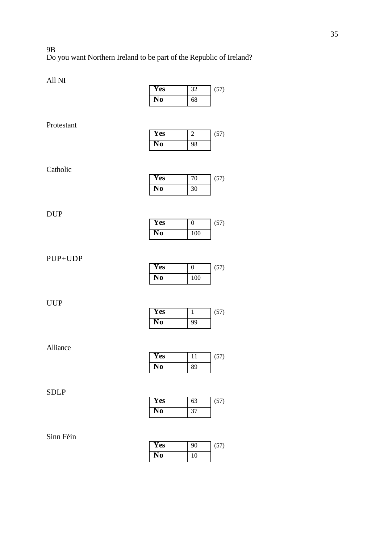#### 9B Do you want Northern Ireland to be part of the Republic of Ireland?

| All NI      |                        |                  |      |
|-------------|------------------------|------------------|------|
|             | <b>Yes</b>             | 32               | (57) |
|             | N <sub>0</sub>         | 68               |      |
| Protestant  |                        |                  |      |
|             | <b>Yes</b>             | $\sqrt{2}$       | (57) |
|             | N <sub>0</sub>         | 98               |      |
| Catholic    |                        |                  |      |
|             | Yes                    | $70\,$           | (57) |
|             | N <sub>0</sub>         | 30               |      |
| <b>DUP</b>  |                        |                  |      |
|             | <b>Yes</b>             | $\boldsymbol{0}$ | (57) |
|             | N <sub>0</sub>         | 100              |      |
| PUP+UDP     |                        |                  |      |
|             | Yes                    | $\boldsymbol{0}$ | (57) |
|             | N <sub>0</sub>         | 100              |      |
| <b>UUP</b>  | <b>Yes</b>             | $\mathbf{1}$     | (57) |
|             | N <sub>0</sub>         | 99               |      |
| Alliance    |                        |                  |      |
|             | Yes                    | 11               | (57) |
|             | N <sub>0</sub>         | 89               |      |
| <b>SDLP</b> |                        |                  |      |
|             | Yes                    | 63               | (57) |
|             | $\overline{\text{No}}$ | 37               |      |

| Sinn Féin |  |
|-----------|--|
|           |  |

| <b>Yes</b> | 90 | (57) |
|------------|----|------|
| No.        | 10 |      |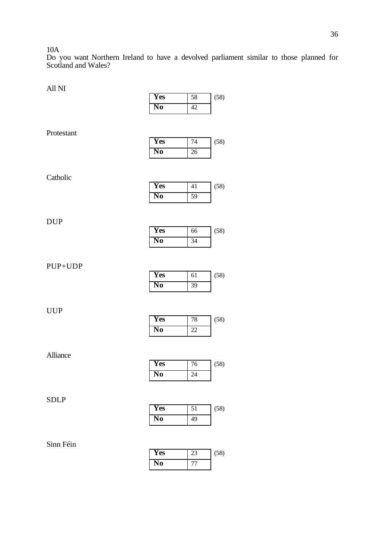10A

Do you want Northern Ireland to have a devolved parliament similar to those planned for Scotland and Wales?

All NI **Yes** 58 (58) **No** 42 Protestant **Yes** 74 (58) **No** 26 Catholic **Yes** 41 (58) **No** 59 DUP **Yes** 66 (58) **No** 34 PUP+UDP **Yes** 61 (58) **No** 39 UUP **Yes** 78 (58) **No** 22 Alliance **Yes** 76 (58) **No** 24 SDLP **Yes** 51 (58) **No** 49

Sinn Féin

| Yes | (58) |
|-----|------|
| D   |      |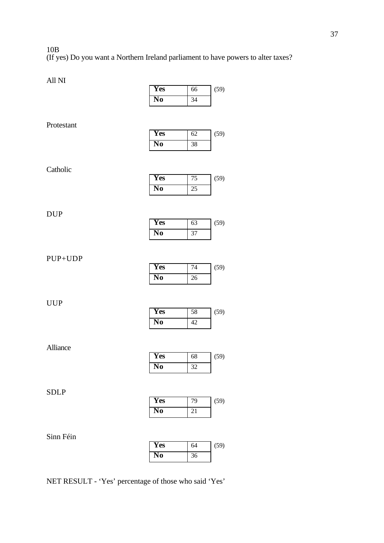10B (If yes) Do you want a Northern Ireland parliament to have powers to alter taxes?

| All NI      |                              |          |      |
|-------------|------------------------------|----------|------|
|             | Yes                          | 66       | (59) |
|             | N <sub>0</sub>               | 34       |      |
|             |                              |          |      |
| Protestant  |                              |          |      |
|             | <b>Yes</b>                   | 62       | (59) |
|             | N <sub>0</sub>               | 38       |      |
|             |                              |          |      |
| Catholic    |                              |          |      |
|             | <b>Yes</b>                   | 75       | (59) |
|             | $\overline{\text{No}}$       | $25\,$   |      |
|             |                              |          |      |
| <b>DUP</b>  |                              |          |      |
|             | <b>Yes</b>                   | 63       | (59) |
|             | N <sub>0</sub>               | 37       |      |
|             |                              |          |      |
| PUP+UDP     |                              |          |      |
|             | <b>Yes</b>                   | 74       | (59) |
|             | N <sub>0</sub>               | 26       |      |
|             |                              |          |      |
| <b>UUP</b>  |                              |          |      |
|             | <b>Yes</b>                   | 58       | (59) |
|             | N <sub>0</sub>               | 42       |      |
|             |                              |          |      |
| Alliance    |                              |          |      |
|             | Yes                          | 68       | (59) |
|             | N <sub>0</sub>               | 32       |      |
|             |                              |          |      |
|             |                              |          |      |
|             |                              |          |      |
| <b>SDLP</b> |                              |          |      |
|             | <b>Yes</b><br>N <sub>0</sub> | 79<br>21 | (59) |

Sinn Féin

| Yes | 64 | (59) |
|-----|----|------|
| No  | 36 |      |

NET RESULT - 'Yes' percentage of those who said 'Yes'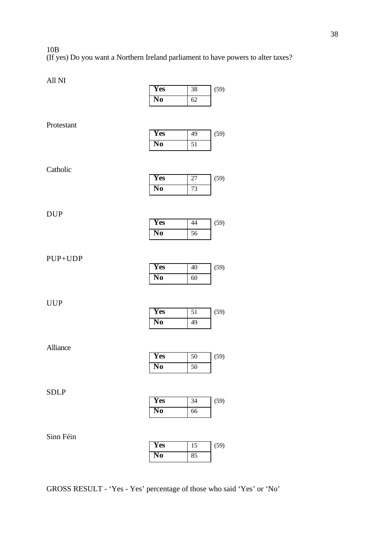10B (If yes) Do you want a Northern Ireland parliament to have powers to alter taxes?

| All NI      |                        |                 |      |
|-------------|------------------------|-----------------|------|
|             | Yes                    | 38              | (59) |
|             | N <sub>0</sub>         | 62              |      |
|             |                        |                 |      |
| Protestant  |                        |                 |      |
|             | Yes                    | 49              | (59) |
|             | N <sub>0</sub>         | $\overline{51}$ |      |
|             |                        |                 |      |
| Catholic    |                        |                 |      |
|             | <b>Yes</b>             | $27\,$          | (59) |
|             | N <sub>0</sub>         | 73              |      |
|             |                        |                 |      |
|             |                        |                 |      |
| <b>DUP</b>  | <b>Yes</b>             | 44              | (59) |
|             | N <sub>0</sub>         | 56              |      |
|             |                        |                 |      |
|             |                        |                 |      |
| PUP+UDP     | <b>Yes</b>             | $40\,$          | (59) |
|             | N <sub>0</sub>         | 60              |      |
|             |                        |                 |      |
|             |                        |                 |      |
| <b>UUP</b>  | Yes                    |                 |      |
|             | N <sub>0</sub>         | 51<br>49        | (59) |
|             |                        |                 |      |
|             |                        |                 |      |
| Alliance    |                        |                 |      |
|             | <b>Yes</b>             | 50              | (59) |
|             | N <sub>0</sub>         | $\overline{50}$ |      |
|             |                        |                 |      |
| <b>SDLP</b> |                        |                 |      |
|             | Yes                    | 34              | (59) |
|             | $\overline{\text{No}}$ | 66              |      |
|             |                        |                 |      |
| Sinn Féin   |                        |                 |      |

GROSS RESULT - 'Yes - Yes' percentage of those who said 'Yes' or 'No'

**Yes** 15 (59)

**No** 85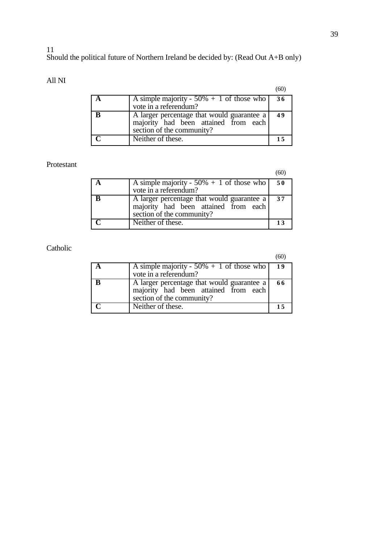11

### Should the political future of Northern Ireland be decided by: (Read Out A+B only)

All NI

|                                                                                                                 | (60 |
|-----------------------------------------------------------------------------------------------------------------|-----|
| A simple majority - $50\% + 1$ of those who                                                                     | 36  |
| vote in a referendum?                                                                                           |     |
| A larger percentage that would guarantee a<br>majority had been attained from each<br>section of the community? | 49  |
| Neither of these.                                                                                               |     |

# Protestant

(60)

|  | A simple majority - 50% + 1 of those who<br>vote in a referendum?                                               | 50 |
|--|-----------------------------------------------------------------------------------------------------------------|----|
|  | A larger percentage that would guarantee a<br>majority had been attained from each<br>section of the community? | 37 |
|  | Neither of these.                                                                                               | 13 |

# Catholic

(60)

| A simple majority - $50\% + 1$ of those who<br>vote in a referendum?                                            | 19  |
|-----------------------------------------------------------------------------------------------------------------|-----|
| A larger percentage that would guarantee a<br>majority had been attained from each<br>section of the community? | -66 |
| Neither of these.                                                                                               | 15  |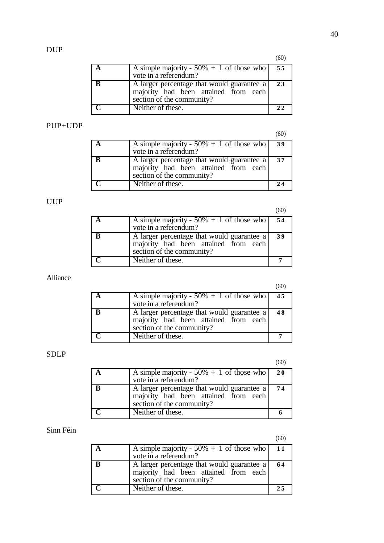| A                       | A simple majority - $50\% + 1$ of those who<br>vote in a referendum?                                            | 55 |
|-------------------------|-----------------------------------------------------------------------------------------------------------------|----|
| B                       | A larger percentage that would guarantee a<br>majority had been attained from each<br>section of the community? | 23 |
| $\overline{\mathbf{C}}$ | Neither of these.                                                                                               | 22 |

# PUP+UDP

(60)

(60)

| A simple majority - $50\% + 1$ of those who<br>vote in a referendum?                                            | 39 |
|-----------------------------------------------------------------------------------------------------------------|----|
| A larger percentage that would guarantee a<br>majority had been attained from each<br>section of the community? | 37 |
| Neither of these.                                                                                               | 24 |

# UUP

(60)

| A simple majority - $50\% + 1$ of those who   54<br>vote in a referendum?                                       |    |
|-----------------------------------------------------------------------------------------------------------------|----|
| A larger percentage that would guarantee a<br>majority had been attained from each<br>section of the community? | 39 |
| Neither of these.                                                                                               |    |

# Alliance

(60)

| A simple majority - $50\% + 1$ of those who   45<br>vote in a referendum?                                       |    |
|-----------------------------------------------------------------------------------------------------------------|----|
| A larger percentage that would guarantee a<br>majority had been attained from each<br>section of the community? | 48 |
| Neither of these.                                                                                               |    |

# SDLP

(60)

| A simple majority - $50\% + 1$ of those who   20<br>vote in a referendum?                                       |    |
|-----------------------------------------------------------------------------------------------------------------|----|
| A larger percentage that would guarantee a<br>majority had been attained from each<br>section of the community? | 74 |
| Neither of these.                                                                                               |    |

# Sinn Féin

(60)

| A | A simple majority - $50\% + 1$ of those who   11<br>vote in a referendum?                                       |     |
|---|-----------------------------------------------------------------------------------------------------------------|-----|
| B | A larger percentage that would guarantee a<br>majority had been attained from each<br>section of the community? | 64  |
|   | Neither of these.                                                                                               | 2.5 |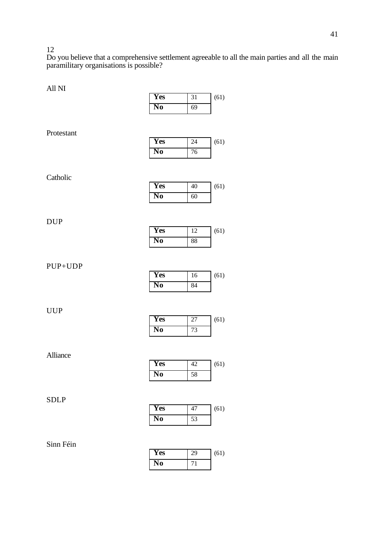12

Do you believe that a comprehensive settlement agreeable to all the main parties and all the main paramilitary organisations is possible?

| AII INI     |                |        |      |
|-------------|----------------|--------|------|
|             | Yes            | 31     | (61) |
|             | N <sub>0</sub> | 69     |      |
|             |                |        |      |
| Protestant  |                |        |      |
|             | <b>Yes</b>     | $24\,$ | (61) |
|             | N <sub>0</sub> | 76     |      |
|             |                |        |      |
|             |                |        |      |
| Catholic    |                |        |      |
|             | Yes            | $40\,$ | (61) |
|             | N <sub>0</sub> | 60     |      |
|             |                |        |      |
| <b>DUP</b>  |                |        |      |
|             | <b>Yes</b>     | 12     | (61) |
|             | N <sub>0</sub> | 88     |      |
|             |                |        |      |
|             |                |        |      |
| PUP+UDP     |                |        |      |
|             | <b>Yes</b>     | 16     | (61) |
|             | N <sub>0</sub> | 84     |      |
|             |                |        |      |
| <b>UUP</b>  |                |        |      |
|             | <b>Yes</b>     | $27\,$ | (61) |
|             | N <sub>0</sub> | 73     |      |
|             |                |        |      |
|             |                |        |      |
| Alliance    | Yes            |        |      |
|             |                | 42     | (61) |
|             | N <sub>0</sub> | 58     |      |
|             |                |        |      |
| <b>SDLP</b> |                |        |      |
|             | Yes            | $47\,$ | (61) |
|             | N <sub>0</sub> | 53     |      |
|             |                |        |      |

| Yes | 29 | (61) |
|-----|----|------|
| No  | 71 |      |